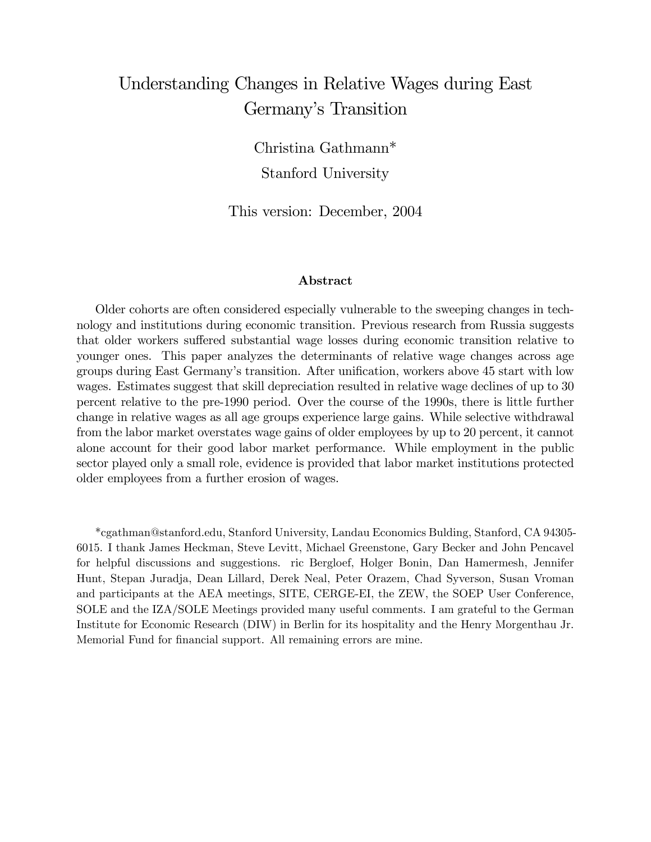# Understanding Changes in Relative Wages during East Germany's Transition

Christina Gathmann\* Stanford University

This version: December, 2004

#### Abstract

Older cohorts are often considered especially vulnerable to the sweeping changes in technology and institutions during economic transition. Previous research from Russia suggests that older workers suffered substantial wage losses during economic transition relative to younger ones. This paper analyzes the determinants of relative wage changes across age groups during East Germany's transition. After unification, workers above 45 start with low wages. Estimates suggest that skill depreciation resulted in relative wage declines of up to 30 percent relative to the pre-1990 period. Over the course of the 1990s, there is little further change in relative wages as all age groups experience large gains. While selective withdrawal from the labor market overstates wage gains of older employees by up to 20 percent, it cannot alone account for their good labor market performance. While employment in the public sector played only a small role, evidence is provided that labor market institutions protected older employees from a further erosion of wages.

\*cgathman@stanford.edu, Stanford University, Landau Economics Bulding, Stanford, CA 94305- 6015. I thank James Heckman, Steve Levitt, Michael Greenstone, Gary Becker and John Pencavel for helpful discussions and suggestions. ric Bergloef, Holger Bonin, Dan Hamermesh, Jennifer Hunt, Stepan Juradja, Dean Lillard, Derek Neal, Peter Orazem, Chad Syverson, Susan Vroman and participants at the AEA meetings, SITE, CERGE-EI, the ZEW, the SOEP User Conference, SOLE and the IZA/SOLE Meetings provided many useful comments. I am grateful to the German Institute for Economic Research (DIW) in Berlin for its hospitality and the Henry Morgenthau Jr. Memorial Fund for financial support. All remaining errors are mine.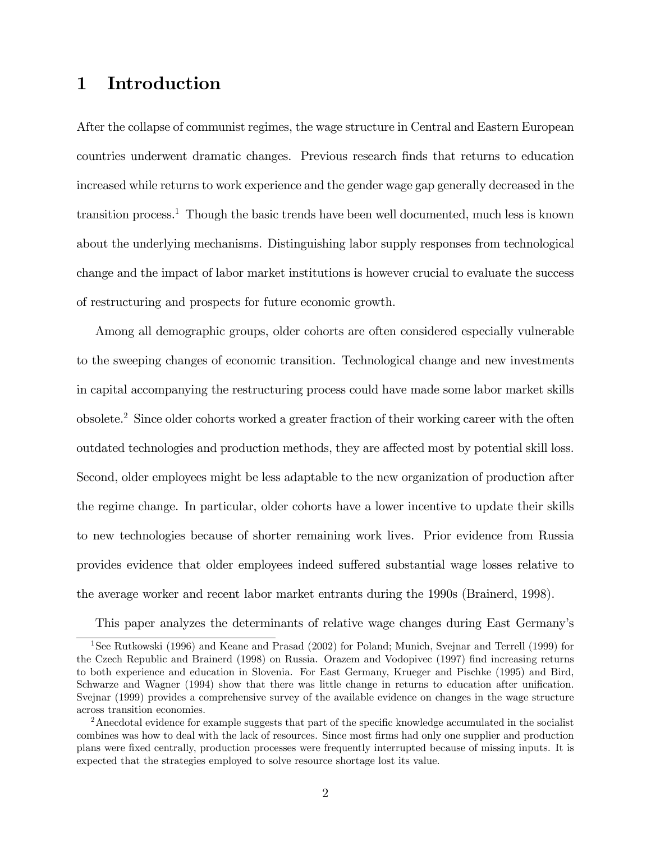# 1 Introduction

After the collapse of communist regimes, the wage structure in Central and Eastern European countries underwent dramatic changes. Previous research Önds that returns to education increased while returns to work experience and the gender wage gap generally decreased in the transition process.<sup>1</sup> Though the basic trends have been well documented, much less is known about the underlying mechanisms. Distinguishing labor supply responses from technological change and the impact of labor market institutions is however crucial to evaluate the success of restructuring and prospects for future economic growth.

Among all demographic groups, older cohorts are often considered especially vulnerable to the sweeping changes of economic transition. Technological change and new investments in capital accompanying the restructuring process could have made some labor market skills obsolete.<sup>2</sup> Since older cohorts worked a greater fraction of their working career with the often outdated technologies and production methods, they are affected most by potential skill loss. Second, older employees might be less adaptable to the new organization of production after the regime change. In particular, older cohorts have a lower incentive to update their skills to new technologies because of shorter remaining work lives. Prior evidence from Russia provides evidence that older employees indeed suffered substantial wage losses relative to the average worker and recent labor market entrants during the 1990s (Brainerd, 1998).

This paper analyzes the determinants of relative wage changes during East Germanyís

<sup>&</sup>lt;sup>1</sup>See Rutkowski (1996) and Keane and Prasad (2002) for Poland; Munich, Svejnar and Terrell (1999) for the Czech Republic and Brainerd (1998) on Russia. Orazem and Vodopivec (1997) find increasing returns to both experience and education in Slovenia. For East Germany, Krueger and Pischke (1995) and Bird, Schwarze and Wagner (1994) show that there was little change in returns to education after unification. Svejnar (1999) provides a comprehensive survey of the available evidence on changes in the wage structure across transition economies.

 $2A$ necdotal evidence for example suggests that part of the specific knowledge accumulated in the socialist combines was how to deal with the lack of resources. Since most firms had only one supplier and production plans were Öxed centrally, production processes were frequently interrupted because of missing inputs. It is expected that the strategies employed to solve resource shortage lost its value.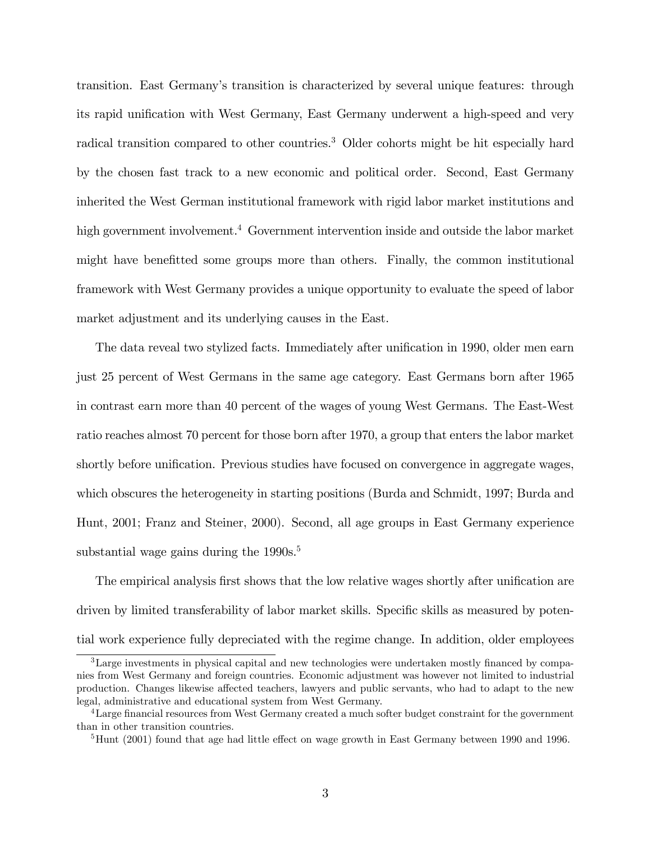transition. East Germanyís transition is characterized by several unique features: through its rapid unification with West Germany, East Germany underwent a high-speed and very radical transition compared to other countries.<sup>3</sup> Older cohorts might be hit especially hard by the chosen fast track to a new economic and political order. Second, East Germany inherited the West German institutional framework with rigid labor market institutions and high government involvement.<sup>4</sup> Government intervention inside and outside the labor market might have benefitted some groups more than others. Finally, the common institutional framework with West Germany provides a unique opportunity to evaluate the speed of labor market adjustment and its underlying causes in the East.

The data reveal two stylized facts. Immediately after unification in 1990, older men earn just 25 percent of West Germans in the same age category. East Germans born after 1965 in contrast earn more than 40 percent of the wages of young West Germans. The East-West ratio reaches almost 70 percent for those born after 1970, a group that enters the labor market shortly before unification. Previous studies have focused on convergence in aggregate wages, which obscures the heterogeneity in starting positions (Burda and Schmidt, 1997; Burda and Hunt, 2001; Franz and Steiner, 2000). Second, all age groups in East Germany experience substantial wage gains during the  $1990s$ <sup>5</sup>

The empirical analysis first shows that the low relative wages shortly after unification are driven by limited transferability of labor market skills. Specific skills as measured by potential work experience fully depreciated with the regime change. In addition, older employees

 $3$ Large investments in physical capital and new technologies were undertaken mostly financed by companies from West Germany and foreign countries. Economic adjustment was however not limited to industrial production. Changes likewise affected teachers, lawyers and public servants, who had to adapt to the new legal, administrative and educational system from West Germany.

<sup>&</sup>lt;sup>4</sup> Large financial resources from West Germany created a much softer budget constraint for the government than in other transition countries.

 ${}^{5}$ Hunt (2001) found that age had little effect on wage growth in East Germany between 1990 and 1996.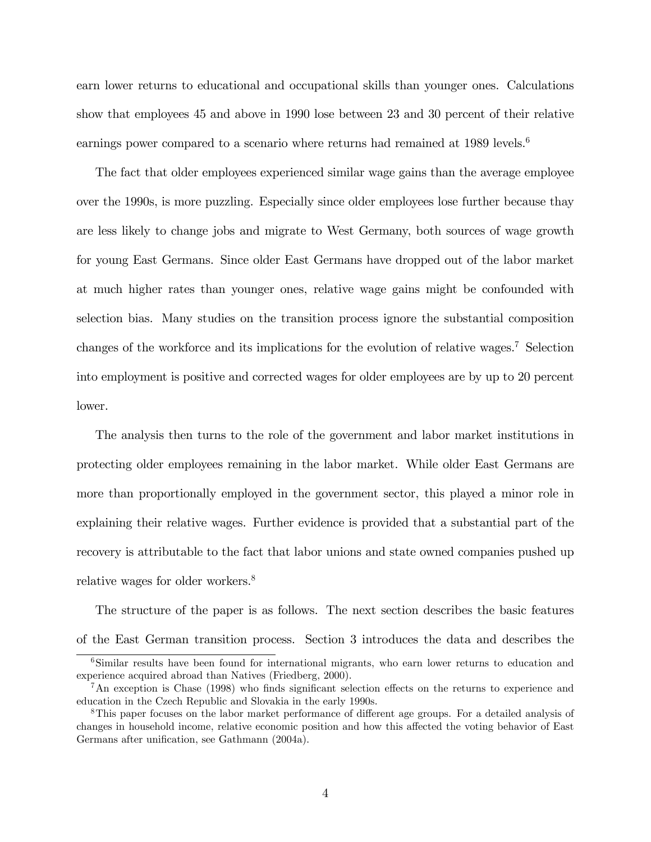earn lower returns to educational and occupational skills than younger ones. Calculations show that employees 45 and above in 1990 lose between 23 and 30 percent of their relative earnings power compared to a scenario where returns had remained at 1989 levels.<sup>6</sup>

The fact that older employees experienced similar wage gains than the average employee over the 1990s, is more puzzling. Especially since older employees lose further because thay are less likely to change jobs and migrate to West Germany, both sources of wage growth for young East Germans. Since older East Germans have dropped out of the labor market at much higher rates than younger ones, relative wage gains might be confounded with selection bias. Many studies on the transition process ignore the substantial composition changes of the workforce and its implications for the evolution of relative wages.<sup>7</sup> Selection into employment is positive and corrected wages for older employees are by up to 20 percent lower.

The analysis then turns to the role of the government and labor market institutions in protecting older employees remaining in the labor market. While older East Germans are more than proportionally employed in the government sector, this played a minor role in explaining their relative wages. Further evidence is provided that a substantial part of the recovery is attributable to the fact that labor unions and state owned companies pushed up relative wages for older workers.<sup>8</sup>

The structure of the paper is as follows. The next section describes the basic features of the East German transition process. Section 3 introduces the data and describes the

<sup>&</sup>lt;sup>6</sup>Similar results have been found for international migrants, who earn lower returns to education and experience acquired abroad than Natives (Friedberg, 2000).

 $7\text{An exception is Chase (1998)}$  who finds significant selection effects on the returns to experience and education in the Czech Republic and Slovakia in the early 1990s.

<sup>&</sup>lt;sup>8</sup>This paper focuses on the labor market performance of different age groups. For a detailed analysis of changes in household income, relative economic position and how this affected the voting behavior of East Germans after unification, see Gathmann (2004a).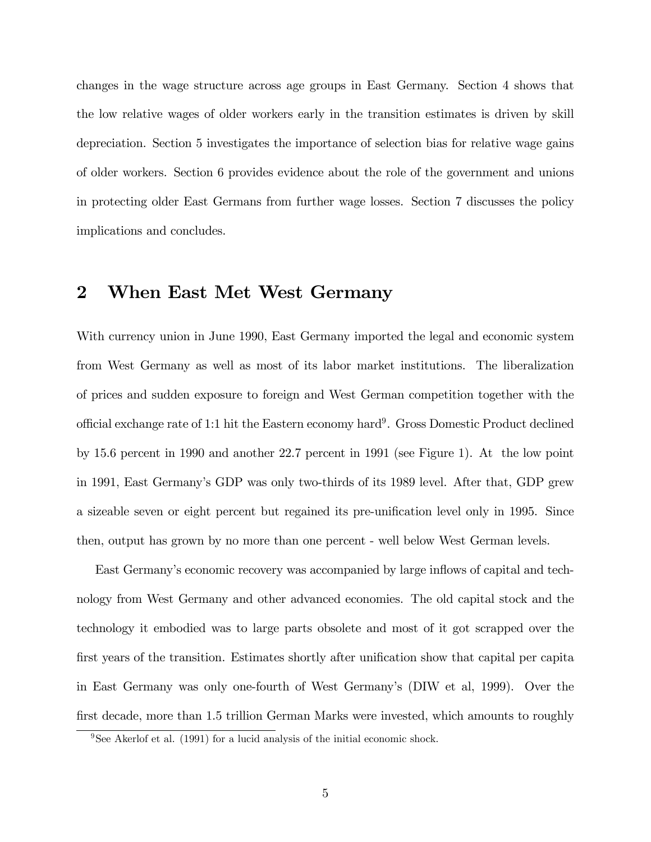changes in the wage structure across age groups in East Germany. Section 4 shows that the low relative wages of older workers early in the transition estimates is driven by skill depreciation. Section 5 investigates the importance of selection bias for relative wage gains of older workers. Section 6 provides evidence about the role of the government and unions in protecting older East Germans from further wage losses. Section 7 discusses the policy implications and concludes.

# 2 When East Met West Germany

With currency union in June 1990, East Germany imported the legal and economic system from West Germany as well as most of its labor market institutions. The liberalization of prices and sudden exposure to foreign and West German competition together with the official exchange rate of 1:1 hit the Eastern economy hard<sup>9</sup>. Gross Domestic Product declined by 15.6 percent in 1990 and another 22.7 percent in 1991 (see Figure 1). At the low point in 1991, East Germanyís GDP was only two-thirds of its 1989 level. After that, GDP grew a sizeable seven or eight percent but regained its pre-unification level only in 1995. Since then, output has grown by no more than one percent - well below West German levels.

East Germany's economic recovery was accompanied by large inflows of capital and technology from West Germany and other advanced economies. The old capital stock and the technology it embodied was to large parts obsolete and most of it got scrapped over the first years of the transition. Estimates shortly after unification show that capital per capita in East Germany was only one-fourth of West Germany's (DIW et al, 1999). Over the first decade, more than 1.5 trillion German Marks were invested, which amounts to roughly

<sup>&</sup>lt;sup>9</sup>See Akerlof et al. (1991) for a lucid analysis of the initial economic shock.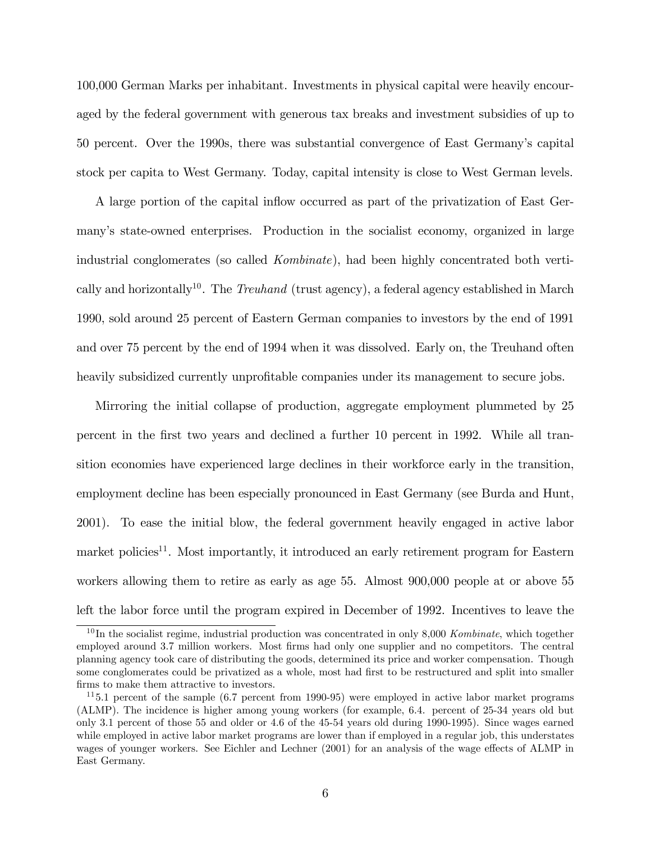100,000 German Marks per inhabitant. Investments in physical capital were heavily encouraged by the federal government with generous tax breaks and investment subsidies of up to 50 percent. Over the 1990s, there was substantial convergence of East Germanyís capital stock per capita to West Germany. Today, capital intensity is close to West German levels.

A large portion of the capital inflow occurred as part of the privatization of East Germanyís state-owned enterprises. Production in the socialist economy, organized in large industrial conglomerates (so called Kombinate), had been highly concentrated both vertically and horizontally<sup>10</sup>. The *Treuhand* (trust agency), a federal agency established in March 1990, sold around 25 percent of Eastern German companies to investors by the end of 1991 and over 75 percent by the end of 1994 when it was dissolved. Early on, the Treuhand often heavily subsidized currently unprofitable companies under its management to secure jobs.

Mirroring the initial collapse of production, aggregate employment plummeted by 25 percent in the Örst two years and declined a further 10 percent in 1992. While all transition economies have experienced large declines in their workforce early in the transition, employment decline has been especially pronounced in East Germany (see Burda and Hunt, 2001). To ease the initial blow, the federal government heavily engaged in active labor market policies<sup>11</sup>. Most importantly, it introduced an early retirement program for Eastern workers allowing them to retire as early as age 55. Almost 900,000 people at or above 55 left the labor force until the program expired in December of 1992. Incentives to leave the

 $10$  In the socialist regime, industrial production was concentrated in only 8,000 Kombinate, which together employed around 3.7 million workers. Most firms had only one supplier and no competitors. The central planning agency took care of distributing the goods, determined its price and worker compensation. Though some conglomerates could be privatized as a whole, most had first to be restructured and split into smaller firms to make them attractive to investors.

 $115.1$  percent of the sample (6.7 percent from 1990-95) were employed in active labor market programs (ALMP). The incidence is higher among young workers (for example, 6.4. percent of 25-34 years old but only 3.1 percent of those 55 and older or 4.6 of the 45-54 years old during 1990-1995). Since wages earned while employed in active labor market programs are lower than if employed in a regular job, this understates wages of younger workers. See Eichler and Lechner (2001) for an analysis of the wage effects of ALMP in East Germany.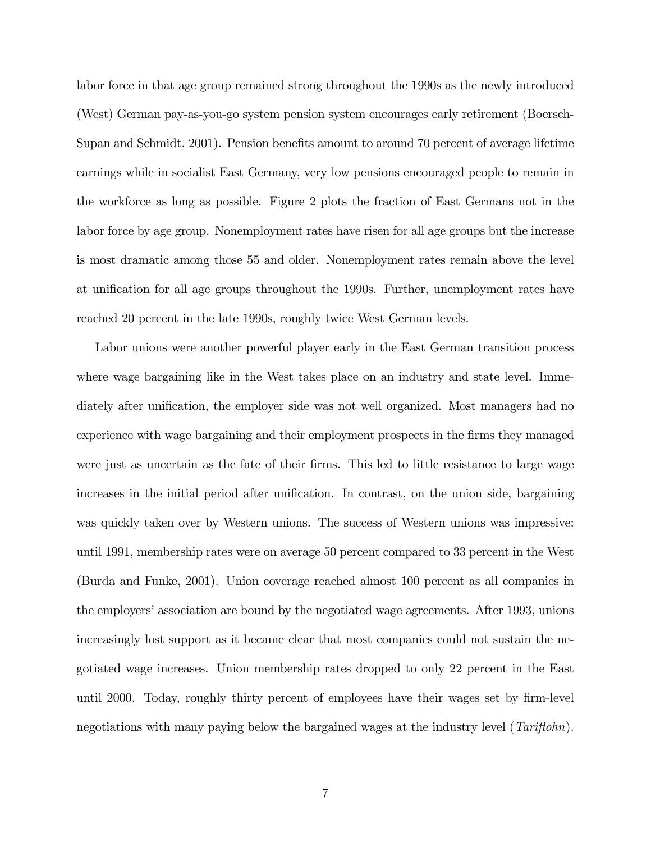labor force in that age group remained strong throughout the 1990s as the newly introduced (West) German pay-as-you-go system pension system encourages early retirement (Boersch-Supan and Schmidt, 2001). Pension benefits amount to around 70 percent of average lifetime earnings while in socialist East Germany, very low pensions encouraged people to remain in the workforce as long as possible. Figure 2 plots the fraction of East Germans not in the labor force by age group. Nonemployment rates have risen for all age groups but the increase is most dramatic among those 55 and older. Nonemployment rates remain above the level at unification for all age groups throughout the 1990s. Further, unemployment rates have reached 20 percent in the late 1990s, roughly twice West German levels.

Labor unions were another powerful player early in the East German transition process where wage bargaining like in the West takes place on an industry and state level. Immediately after unification, the employer side was not well organized. Most managers had no experience with wage bargaining and their employment prospects in the firms they managed were just as uncertain as the fate of their firms. This led to little resistance to large wage increases in the initial period after unification. In contrast, on the union side, bargaining was quickly taken over by Western unions. The success of Western unions was impressive: until 1991, membership rates were on average 50 percent compared to 33 percent in the West (Burda and Funke, 2001). Union coverage reached almost 100 percent as all companies in the employers' association are bound by the negotiated wage agreements. After 1993, unions increasingly lost support as it became clear that most companies could not sustain the negotiated wage increases. Union membership rates dropped to only 22 percent in the East until 2000. Today, roughly thirty percent of employees have their wages set by firm-level negotiations with many paying below the bargained wages at the industry level  $(Tariflohn)$ .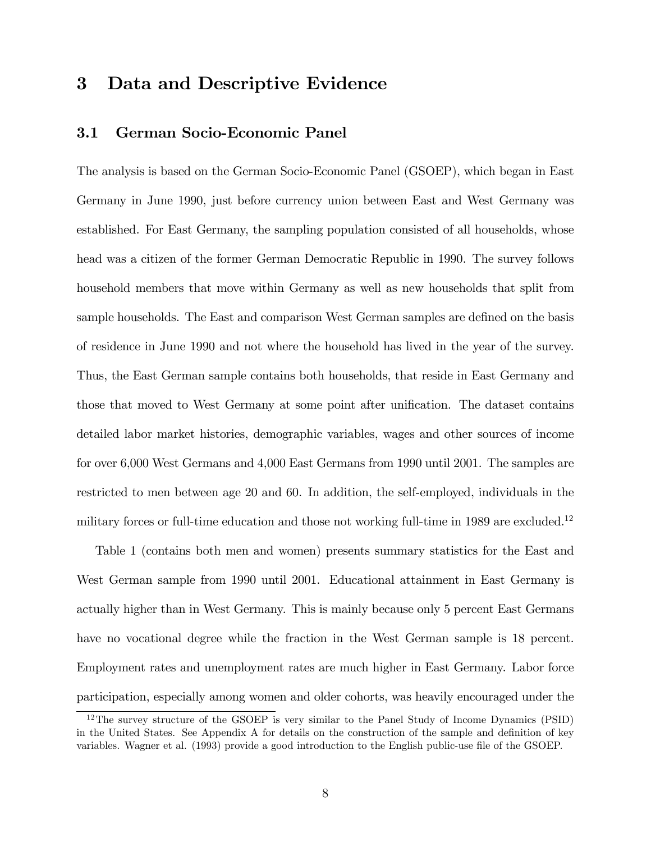# 3 Data and Descriptive Evidence

### 3.1 German Socio-Economic Panel

The analysis is based on the German Socio-Economic Panel (GSOEP), which began in East Germany in June 1990, just before currency union between East and West Germany was established. For East Germany, the sampling population consisted of all households, whose head was a citizen of the former German Democratic Republic in 1990. The survey follows household members that move within Germany as well as new households that split from sample households. The East and comparison West German samples are defined on the basis of residence in June 1990 and not where the household has lived in the year of the survey. Thus, the East German sample contains both households, that reside in East Germany and those that moved to West Germany at some point after unification. The dataset contains detailed labor market histories, demographic variables, wages and other sources of income for over 6,000 West Germans and 4,000 East Germans from 1990 until 2001. The samples are restricted to men between age 20 and 60. In addition, the self-employed, individuals in the military forces or full-time education and those not working full-time in 1989 are excluded.<sup>12</sup>

Table 1 (contains both men and women) presents summary statistics for the East and West German sample from 1990 until 2001. Educational attainment in East Germany is actually higher than in West Germany. This is mainly because only 5 percent East Germans have no vocational degree while the fraction in the West German sample is 18 percent. Employment rates and unemployment rates are much higher in East Germany. Labor force participation, especially among women and older cohorts, was heavily encouraged under the

<sup>&</sup>lt;sup>12</sup>The survey structure of the GSOEP is very similar to the Panel Study of Income Dynamics (PSID) in the United States. See Appendix A for details on the construction of the sample and definition of key variables. Wagner et al. (1993) provide a good introduction to the English public-use file of the GSOEP.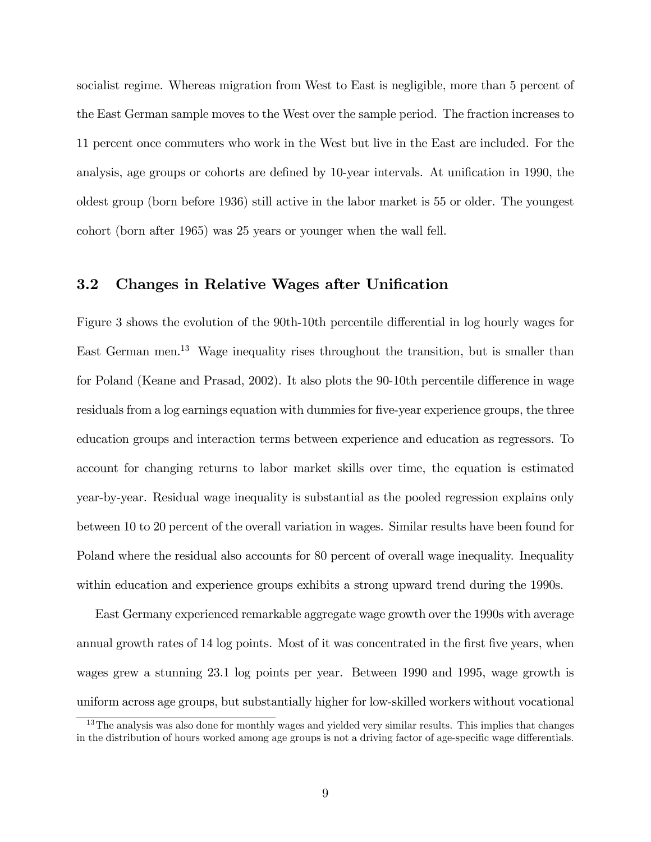socialist regime. Whereas migration from West to East is negligible, more than 5 percent of the East German sample moves to the West over the sample period. The fraction increases to 11 percent once commuters who work in the West but live in the East are included. For the analysis, age groups or cohorts are defined by 10-year intervals. At unification in 1990, the oldest group (born before 1936) still active in the labor market is 55 or older. The youngest cohort (born after 1965) was 25 years or younger when the wall fell.

### 3.2 Changes in Relative Wages after Unification

Figure 3 shows the evolution of the 90th-10th percentile differential in log hourly wages for East German men.<sup>13</sup> Wage inequality rises throughout the transition, but is smaller than for Poland (Keane and Prasad, 2002). It also plots the  $90-10$ th percentile difference in wage residuals from a log earnings equation with dummies for five-year experience groups, the three education groups and interaction terms between experience and education as regressors. To account for changing returns to labor market skills over time, the equation is estimated year-by-year. Residual wage inequality is substantial as the pooled regression explains only between 10 to 20 percent of the overall variation in wages. Similar results have been found for Poland where the residual also accounts for 80 percent of overall wage inequality. Inequality within education and experience groups exhibits a strong upward trend during the 1990s.

East Germany experienced remarkable aggregate wage growth over the 1990s with average annual growth rates of 14 log points. Most of it was concentrated in the first five years, when wages grew a stunning 23.1 log points per year. Between 1990 and 1995, wage growth is uniform across age groups, but substantially higher for low-skilled workers without vocational

<sup>&</sup>lt;sup>13</sup>The analysis was also done for monthly wages and yielded very similar results. This implies that changes in the distribution of hours worked among age groups is not a driving factor of age-specific wage differentials.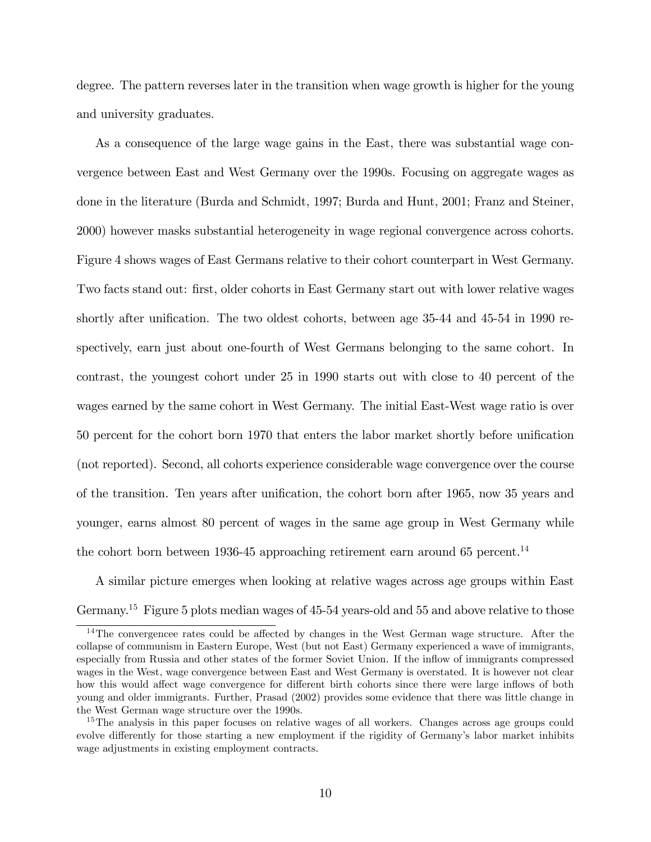degree. The pattern reverses later in the transition when wage growth is higher for the young and university graduates.

As a consequence of the large wage gains in the East, there was substantial wage convergence between East and West Germany over the 1990s. Focusing on aggregate wages as done in the literature (Burda and Schmidt, 1997; Burda and Hunt, 2001; Franz and Steiner, 2000) however masks substantial heterogeneity in wage regional convergence across cohorts. Figure 4 shows wages of East Germans relative to their cohort counterpart in West Germany. Two facts stand out: first, older cohorts in East Germany start out with lower relative wages shortly after unification. The two oldest cohorts, between age  $35-44$  and  $45-54$  in 1990 respectively, earn just about one-fourth of West Germans belonging to the same cohort. In contrast, the youngest cohort under 25 in 1990 starts out with close to 40 percent of the wages earned by the same cohort in West Germany. The initial East-West wage ratio is over 50 percent for the cohort born 1970 that enters the labor market shortly before unification (not reported). Second, all cohorts experience considerable wage convergence over the course of the transition. Ten years after unification, the cohort born after 1965, now 35 years and younger, earns almost 80 percent of wages in the same age group in West Germany while the cohort born between 1936-45 approaching retirement earn around 65 percent.<sup>14</sup>

A similar picture emerges when looking at relative wages across age groups within East Germany.<sup>15</sup> Figure 5 plots median wages of 45-54 years-old and 55 and above relative to those

 $14$ The convergencee rates could be affected by changes in the West German wage structure. After the collapse of communism in Eastern Europe, West (but not East) Germany experienced a wave of immigrants, especially from Russia and other states of the former Soviet Union. If the inflow of immigrants compressed wages in the West, wage convergence between East and West Germany is overstated. It is however not clear how this would affect wage convergence for different birth cohorts since there were large inflows of both young and older immigrants. Further, Prasad (2002) provides some evidence that there was little change in the West German wage structure over the 1990s.

<sup>&</sup>lt;sup>15</sup>The analysis in this paper focuses on relative wages of all workers. Changes across age groups could evolve differently for those starting a new employment if the rigidity of Germany's labor market inhibits wage adjustments in existing employment contracts.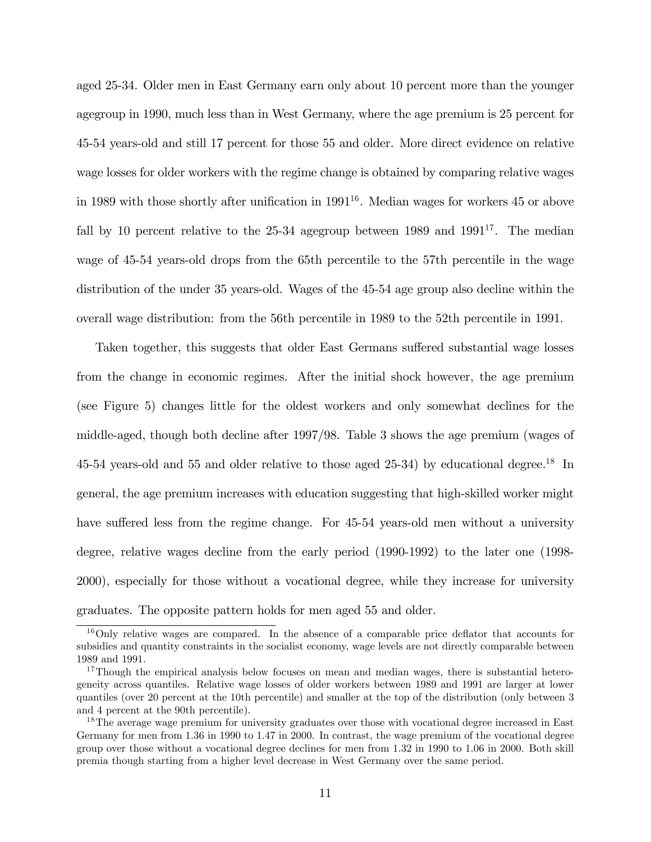aged 25-34. Older men in East Germany earn only about 10 percent more than the younger agegroup in 1990, much less than in West Germany, where the age premium is 25 percent for 45-54 years-old and still 17 percent for those 55 and older. More direct evidence on relative wage losses for older workers with the regime change is obtained by comparing relative wages in 1989 with those shortly after unification in  $1991^{16}$ . Median wages for workers 45 or above fall by 10 percent relative to the  $25-34$  agegroup between 1989 and  $1991^{17}$ . The median wage of 45-54 years-old drops from the 65th percentile to the 57th percentile in the wage distribution of the under 35 years-old. Wages of the 45-54 age group also decline within the overall wage distribution: from the 56th percentile in 1989 to the 52th percentile in 1991.

Taken together, this suggests that older East Germans suffered substantial wage losses from the change in economic regimes. After the initial shock however, the age premium (see Figure 5) changes little for the oldest workers and only somewhat declines for the middle-aged, though both decline after 1997/98. Table 3 shows the age premium (wages of 45-54 years-old and 55 and older relative to those aged 25-34) by educational degree.<sup>18</sup> In general, the age premium increases with education suggesting that high-skilled worker might have suffered less from the regime change. For 45-54 years-old men without a university degree, relative wages decline from the early period (1990-1992) to the later one (1998- 2000), especially for those without a vocational degree, while they increase for university graduates. The opposite pattern holds for men aged 55 and older.

 $16$ Only relative wages are compared. In the absence of a comparable price deflator that accounts for subsidies and quantity constraints in the socialist economy, wage levels are not directly comparable between 1989 and 1991.

<sup>&</sup>lt;sup>17</sup>Though the empirical analysis below focuses on mean and median wages, there is substantial heterogeneity across quantiles. Relative wage losses of older workers between 1989 and 1991 are larger at lower quantiles (over 20 percent at the 10th percentile) and smaller at the top of the distribution (only between 3 and 4 percent at the 90th percentile).

<sup>&</sup>lt;sup>18</sup>The average wage premium for university graduates over those with vocational degree increased in East Germany for men from 1.36 in 1990 to 1.47 in 2000. In contrast, the wage premium of the vocational degree group over those without a vocational degree declines for men from 1.32 in 1990 to 1.06 in 2000. Both skill premia though starting from a higher level decrease in West Germany over the same period.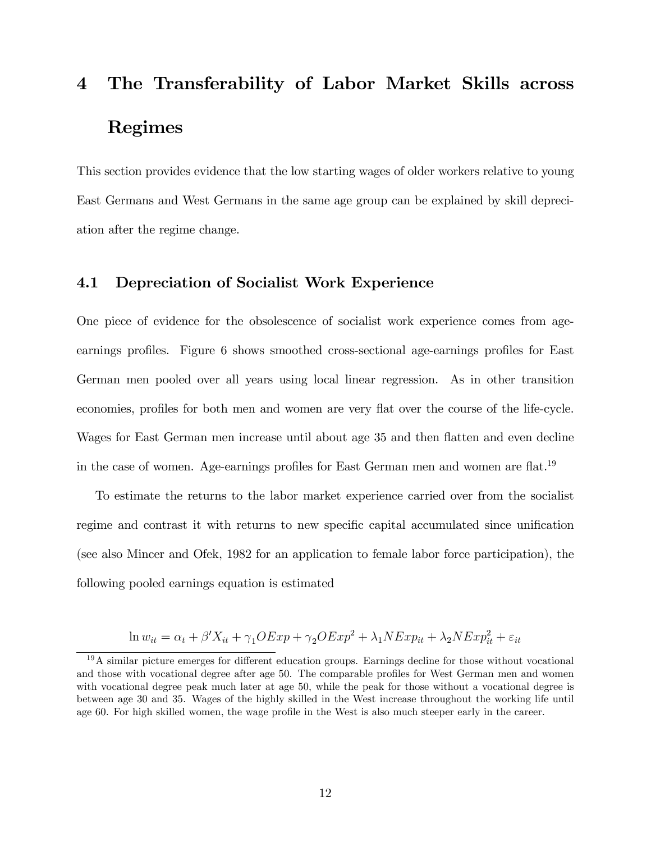# 4 The Transferability of Labor Market Skills across Regimes

This section provides evidence that the low starting wages of older workers relative to young East Germans and West Germans in the same age group can be explained by skill depreciation after the regime change.

### 4.1 Depreciation of Socialist Work Experience

One piece of evidence for the obsolescence of socialist work experience comes from ageearnings profiles. Figure 6 shows smoothed cross-sectional age-earnings profiles for East German men pooled over all years using local linear regression. As in other transition economies, profiles for both men and women are very flat over the course of the life-cycle. Wages for East German men increase until about age 35 and then flatten and even decline in the case of women. Age-earnings profiles for East German men and women are flat.<sup>19</sup>

To estimate the returns to the labor market experience carried over from the socialist regime and contrast it with returns to new specific capital accumulated since unification (see also Mincer and Ofek, 1982 for an application to female labor force participation), the following pooled earnings equation is estimated

$$
\ln w_{it} = \alpha_t + \beta' X_{it} + \gamma_1 OExp + \gamma_2 OExp^2 + \lambda_1 N Exp_{it} + \lambda_2 N Exp_{it}^2 + \varepsilon_{it}
$$

 $19A$  similar picture emerges for different education groups. Earnings decline for those without vocational and those with vocational degree after age 50. The comparable profiles for West German men and women with vocational degree peak much later at age 50, while the peak for those without a vocational degree is between age 30 and 35. Wages of the highly skilled in the West increase throughout the working life until age 60. For high skilled women, the wage profile in the West is also much steeper early in the career.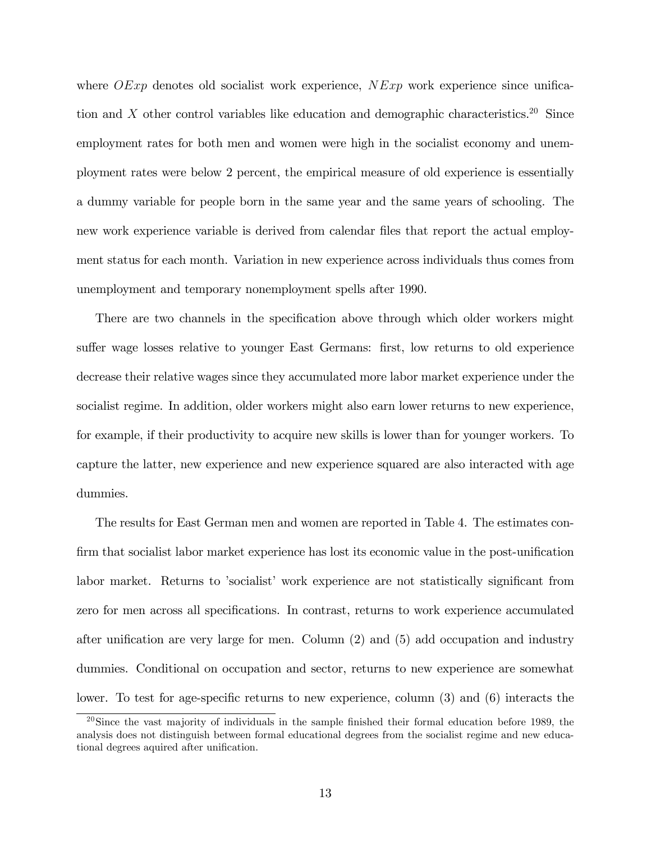where  $OExp$  denotes old socialist work experience,  $NExp$  work experience since unification and X other control variables like education and demographic characteristics.<sup>20</sup> Since employment rates for both men and women were high in the socialist economy and unemployment rates were below 2 percent, the empirical measure of old experience is essentially a dummy variable for people born in the same year and the same years of schooling. The new work experience variable is derived from calendar files that report the actual employment status for each month. Variation in new experience across individuals thus comes from unemployment and temporary nonemployment spells after 1990.

There are two channels in the specification above through which older workers might suffer wage losses relative to younger East Germans: first, low returns to old experience decrease their relative wages since they accumulated more labor market experience under the socialist regime. In addition, older workers might also earn lower returns to new experience, for example, if their productivity to acquire new skills is lower than for younger workers. To capture the latter, new experience and new experience squared are also interacted with age dummies.

The results for East German men and women are reported in Table 4. The estimates confirm that socialist labor market experience has lost its economic value in the post-unification labor market. Returns to 'socialist' work experience are not statistically significant from zero for men across all specifications. In contrast, returns to work experience accumulated after unification are very large for men. Column  $(2)$  and  $(5)$  add occupation and industry dummies. Conditional on occupation and sector, returns to new experience are somewhat lower. To test for age-specific returns to new experience, column  $(3)$  and  $(6)$  interacts the

 $20$ Since the vast majority of individuals in the sample finished their formal education before 1989, the analysis does not distinguish between formal educational degrees from the socialist regime and new educational degrees aquired after unification.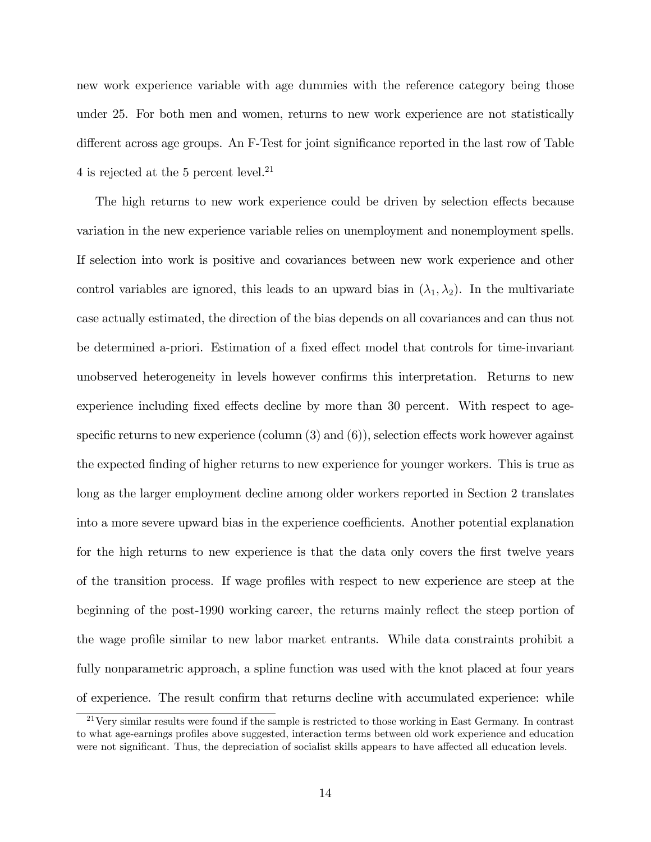new work experience variable with age dummies with the reference category being those under 25. For both men and women, returns to new work experience are not statistically different across age groups. An F-Test for joint significance reported in the last row of Table 4 is rejected at the 5 percent level.<sup>21</sup>

The high returns to new work experience could be driven by selection effects because variation in the new experience variable relies on unemployment and nonemployment spells. If selection into work is positive and covariances between new work experience and other control variables are ignored, this leads to an upward bias in  $(\lambda_1, \lambda_2)$ . In the multivariate case actually estimated, the direction of the bias depends on all covariances and can thus not be determined a-priori. Estimation of a fixed effect model that controls for time-invariant unobserved heterogeneity in levels however confirms this interpretation. Returns to new experience including fixed effects decline by more than 30 percent. With respect to agespecific returns to new experience (column  $(3)$  and  $(6)$ ), selection effects work however against the expected Önding of higher returns to new experience for younger workers. This is true as long as the larger employment decline among older workers reported in Section 2 translates into a more severe upward bias in the experience coefficients. Another potential explanation for the high returns to new experience is that the data only covers the first twelve years of the transition process. If wage profiles with respect to new experience are steep at the beginning of the post-1990 working career, the returns mainly reflect the steep portion of the wage profile similar to new labor market entrants. While data constraints prohibit a fully nonparametric approach, a spline function was used with the knot placed at four years of experience. The result confirm that returns decline with accumulated experience: while

<sup>&</sup>lt;sup>21</sup>Very similar results were found if the sample is restricted to those working in East Germany. In contrast to what age-earnings profiles above suggested, interaction terms between old work experience and education were not significant. Thus, the depreciation of socialist skills appears to have affected all education levels.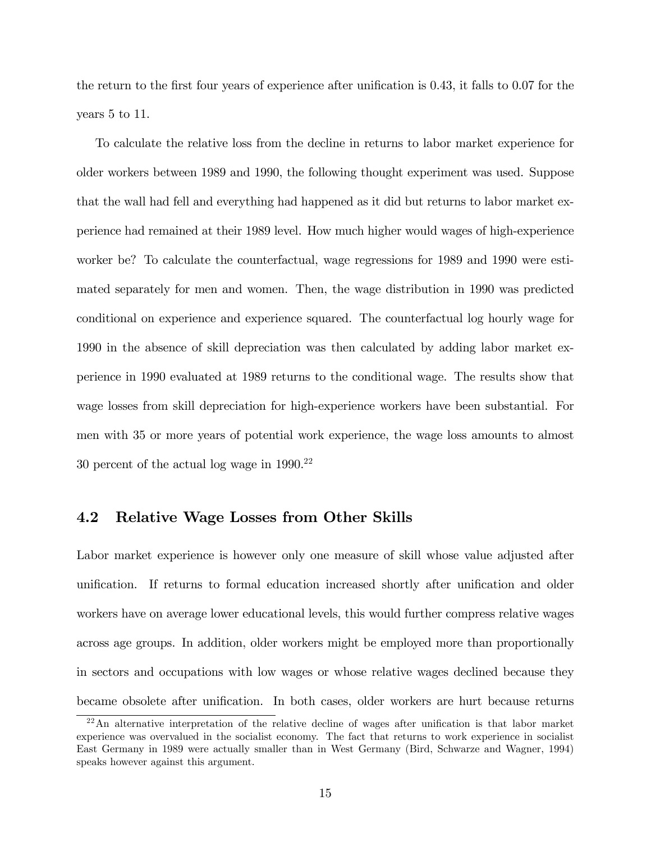the return to the first four years of experience after unification is  $0.43$ , it falls to  $0.07$  for the years 5 to 11.

To calculate the relative loss from the decline in returns to labor market experience for older workers between 1989 and 1990, the following thought experiment was used. Suppose that the wall had fell and everything had happened as it did but returns to labor market experience had remained at their 1989 level. How much higher would wages of high-experience worker be? To calculate the counterfactual, wage regressions for 1989 and 1990 were estimated separately for men and women. Then, the wage distribution in 1990 was predicted conditional on experience and experience squared. The counterfactual log hourly wage for 1990 in the absence of skill depreciation was then calculated by adding labor market experience in 1990 evaluated at 1989 returns to the conditional wage. The results show that wage losses from skill depreciation for high-experience workers have been substantial. For men with 35 or more years of potential work experience, the wage loss amounts to almost 30 percent of the actual log wage in 1990.<sup>22</sup>

### 4.2 Relative Wage Losses from Other Skills

Labor market experience is however only one measure of skill whose value adjusted after unification. If returns to formal education increased shortly after unification and older workers have on average lower educational levels, this would further compress relative wages across age groups. In addition, older workers might be employed more than proportionally in sectors and occupations with low wages or whose relative wages declined because they became obsolete after unification. In both cases, older workers are hurt because returns

 $22$ An alternative interpretation of the relative decline of wages after unification is that labor market experience was overvalued in the socialist economy. The fact that returns to work experience in socialist East Germany in 1989 were actually smaller than in West Germany (Bird, Schwarze and Wagner, 1994) speaks however against this argument.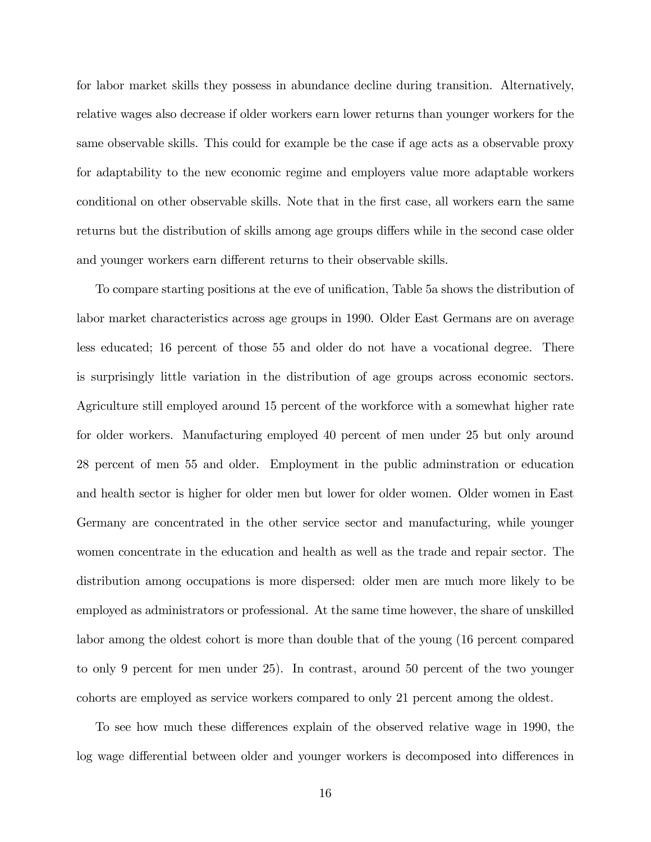for labor market skills they possess in abundance decline during transition. Alternatively, relative wages also decrease if older workers earn lower returns than younger workers for the same observable skills. This could for example be the case if age acts as a observable proxy for adaptability to the new economic regime and employers value more adaptable workers conditional on other observable skills. Note that in the first case, all workers earn the same returns but the distribution of skills among age groups differs while in the second case older and younger workers earn different returns to their observable skills.

To compare starting positions at the eve of unification, Table 5a shows the distribution of labor market characteristics across age groups in 1990. Older East Germans are on average less educated; 16 percent of those 55 and older do not have a vocational degree. There is surprisingly little variation in the distribution of age groups across economic sectors. Agriculture still employed around 15 percent of the workforce with a somewhat higher rate for older workers. Manufacturing employed 40 percent of men under 25 but only around 28 percent of men 55 and older. Employment in the public adminstration or education and health sector is higher for older men but lower for older women. Older women in East Germany are concentrated in the other service sector and manufacturing, while younger women concentrate in the education and health as well as the trade and repair sector. The distribution among occupations is more dispersed: older men are much more likely to be employed as administrators or professional. At the same time however, the share of unskilled labor among the oldest cohort is more than double that of the young (16 percent compared to only 9 percent for men under 25). In contrast, around 50 percent of the two younger cohorts are employed as service workers compared to only 21 percent among the oldest.

To see how much these differences explain of the observed relative wage in 1990, the log wage differential between older and younger workers is decomposed into differences in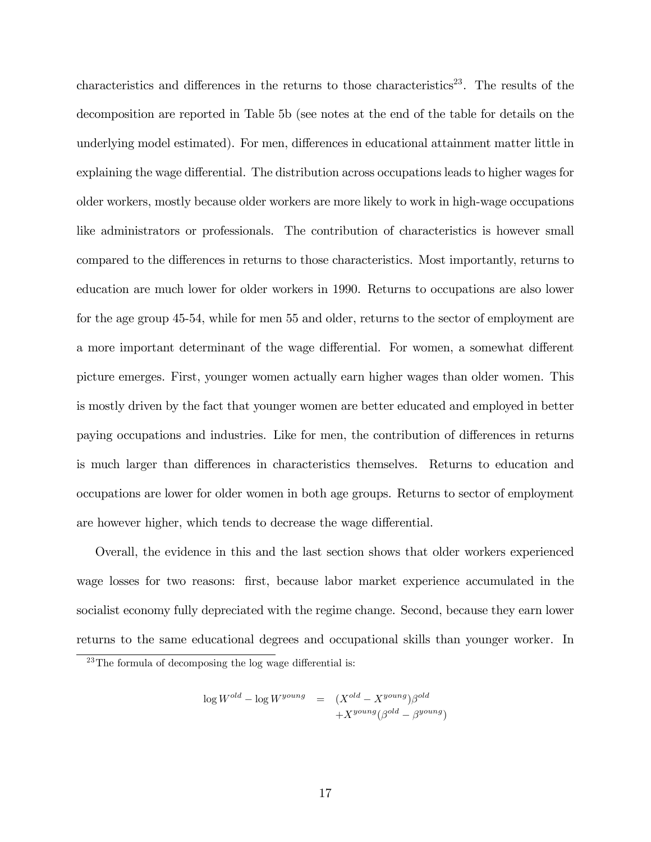characteristics and differences in the returns to those characteristics<sup>23</sup>. The results of the decomposition are reported in Table 5b (see notes at the end of the table for details on the underlying model estimated). For men, differences in educational attainment matter little in explaining the wage differential. The distribution across occupations leads to higher wages for older workers, mostly because older workers are more likely to work in high-wage occupations like administrators or professionals. The contribution of characteristics is however small compared to the differences in returns to those characteristics. Most importantly, returns to education are much lower for older workers in 1990. Returns to occupations are also lower for the age group 45-54, while for men 55 and older, returns to the sector of employment are a more important determinant of the wage differential. For women, a somewhat different picture emerges. First, younger women actually earn higher wages than older women. This is mostly driven by the fact that younger women are better educated and employed in better paying occupations and industries. Like for men, the contribution of differences in returns is much larger than differences in characteristics themselves. Returns to education and occupations are lower for older women in both age groups. Returns to sector of employment are however higher, which tends to decrease the wage differential.

Overall, the evidence in this and the last section shows that older workers experienced wage losses for two reasons: first, because labor market experience accumulated in the socialist economy fully depreciated with the regime change. Second, because they earn lower returns to the same educational degrees and occupational skills than younger worker. In

$$
\log W^{old} - \log W^{young} = (X^{old} - X^{young})\beta^{old} + X^{young}(\beta^{old} - \beta^{young})
$$

 $23$ The formula of decomposing the log wage differential is: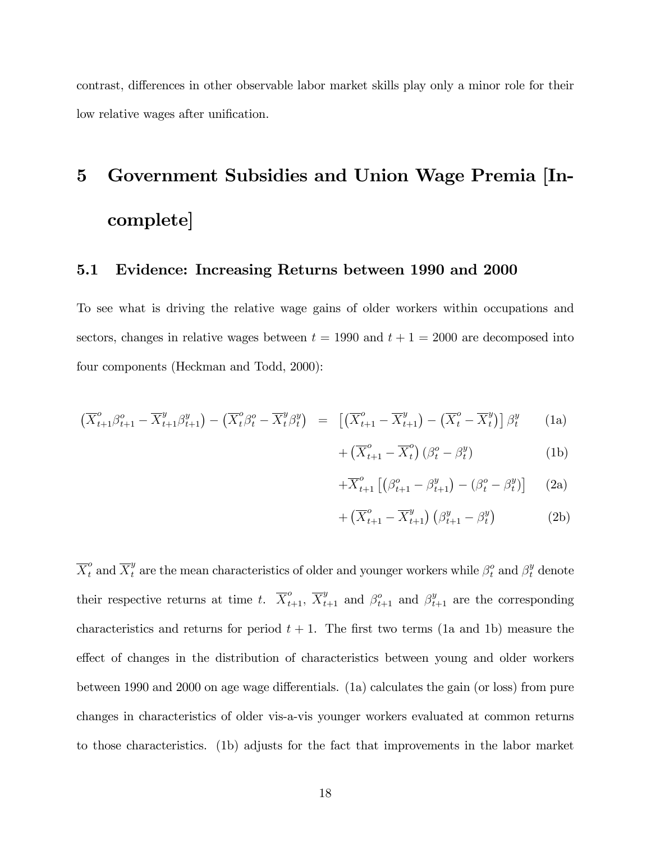contrast, differences in other observable labor market skills play only a minor role for their low relative wages after unification.

# 5 Government Subsidies and Union Wage Premia [Incomplete]

### 5.1 Evidence: Increasing Returns between 1990 and 2000

To see what is driving the relative wage gains of older workers within occupations and sectors, changes in relative wages between  $t = 1990$  and  $t + 1 = 2000$  are decomposed into four components (Heckman and Todd, 2000):

$$
\left(\overline{X}_{t+1}^o \beta_{t+1}^o - \overline{X}_{t+1}^y \beta_{t+1}^y\right) - \left(\overline{X}_t^o \beta_t^o - \overline{X}_t^y \beta_t^y\right) = \left[\left(\overline{X}_{t+1}^o - \overline{X}_{t+1}^y\right) - \left(\overline{X}_t^o - \overline{X}_t^y\right)\right] \beta_t^y \tag{1a}
$$

$$
+\left(\overline{X}_{t+1}^{o} - \overline{X}_{t}^{o}\right)\left(\beta_{t}^{o} - \beta_{t}^{y}\right) \tag{1b}
$$

$$
+\overline{X}_{t+1}^o\left[\left(\beta_{t+1}^o-\beta_{t+1}^y\right)-\left(\beta_t^o-\beta_t^y\right)\right] \qquad(2a)
$$

$$
+\left(\overline{X}_{t+1}^{o} - \overline{X}_{t+1}^{y}\right)\left(\beta_{t+1}^{y} - \beta_{t}^{y}\right) \tag{2b}
$$

 $\overline{X}_t^o$  and  $\overline{X}_t^y$  are the mean characteristics of older and younger workers while  $\beta_t^o$  and  $\beta_t^y$  denote their respective returns at time t.  $\overline{X}_{t+1}^o$ ,  $\overline{X}_{t+1}^y$  and  $\beta_{t+1}^o$  and  $\beta_{t+1}^y$  are the corresponding characteristics and returns for period  $t + 1$ . The first two terms (1a and 1b) measure the effect of changes in the distribution of characteristics between young and older workers between 1990 and 2000 on age wage differentials. (1a) calculates the gain (or loss) from pure changes in characteristics of older vis-a-vis younger workers evaluated at common returns to those characteristics. (1b) adjusts for the fact that improvements in the labor market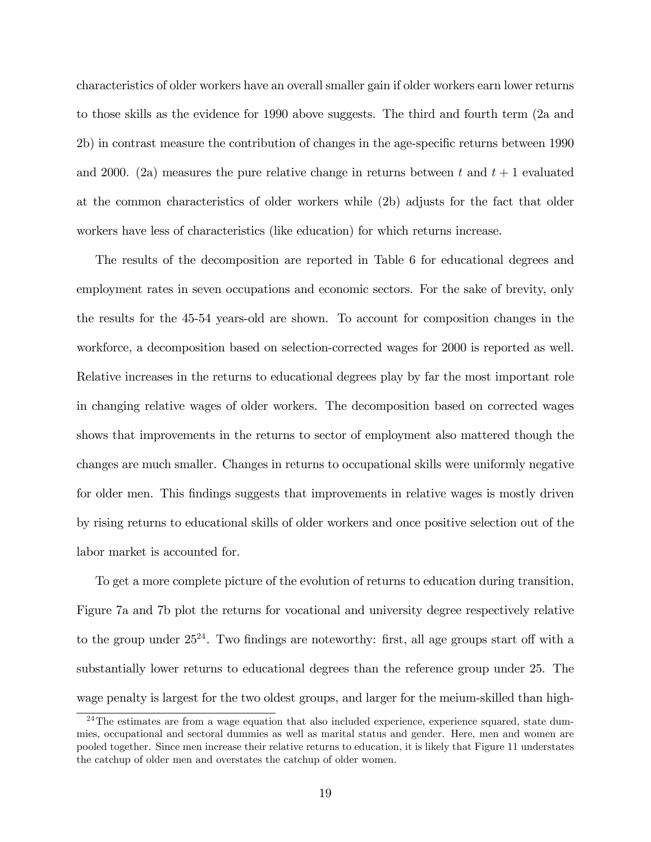characteristics of older workers have an overall smaller gain if older workers earn lower returns to those skills as the evidence for 1990 above suggests. The third and fourth term (2a and 2b) in contrast measure the contribution of changes in the age-specific returns between 1990 and 2000. (2a) measures the pure relative change in returns between t and  $t + 1$  evaluated at the common characteristics of older workers while (2b) adjusts for the fact that older workers have less of characteristics (like education) for which returns increase.

The results of the decomposition are reported in Table 6 for educational degrees and employment rates in seven occupations and economic sectors. For the sake of brevity, only the results for the 45-54 years-old are shown. To account for composition changes in the workforce, a decomposition based on selection-corrected wages for 2000 is reported as well. Relative increases in the returns to educational degrees play by far the most important role in changing relative wages of older workers. The decomposition based on corrected wages shows that improvements in the returns to sector of employment also mattered though the changes are much smaller. Changes in returns to occupational skills were uniformly negative for older men. This findings suggests that improvements in relative wages is mostly driven by rising returns to educational skills of older workers and once positive selection out of the labor market is accounted for.

To get a more complete picture of the evolution of returns to education during transition, Figure 7a and 7b plot the returns for vocational and university degree respectively relative to the group under  $25^{24}$ . Two findings are noteworthy: first, all age groups start off with a substantially lower returns to educational degrees than the reference group under 25. The wage penalty is largest for the two oldest groups, and larger for the meium-skilled than high-

<sup>&</sup>lt;sup>24</sup>The estimates are from a wage equation that also included experience, experience squared, state dummies, occupational and sectoral dummies as well as marital status and gender. Here, men and women are pooled together. Since men increase their relative returns to education, it is likely that Figure 11 understates the catchup of older men and overstates the catchup of older women.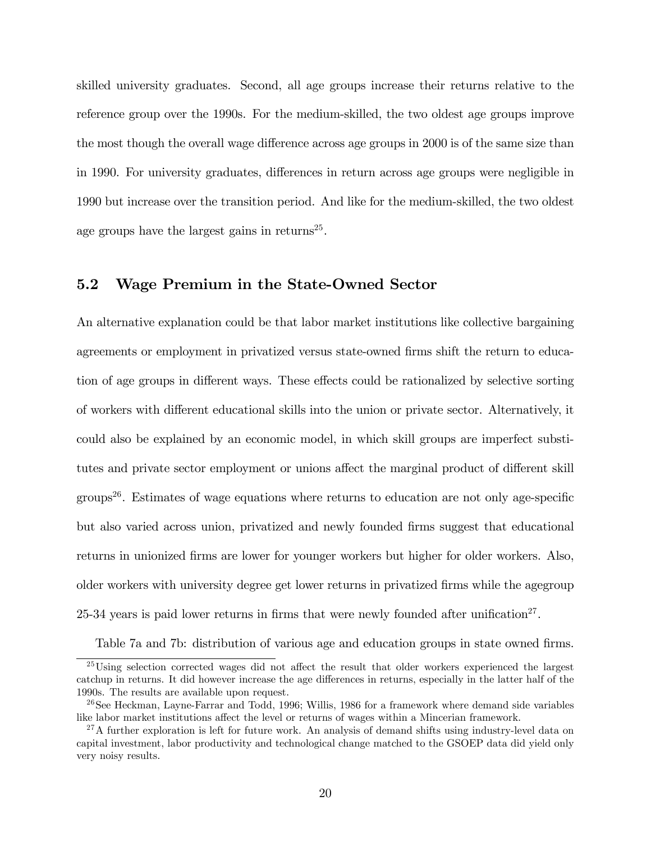skilled university graduates. Second, all age groups increase their returns relative to the reference group over the 1990s. For the medium-skilled, the two oldest age groups improve the most though the overall wage difference across age groups in 2000 is of the same size than in 1990. For university graduates, differences in return across age groups were negligible in 1990 but increase over the transition period. And like for the medium-skilled, the two oldest age groups have the largest gains in returns<sup>25</sup>.

### 5.2 Wage Premium in the State-Owned Sector

An alternative explanation could be that labor market institutions like collective bargaining agreements or employment in privatized versus state-owned firms shift the return to education of age groups in different ways. These effects could be rationalized by selective sorting of workers with different educational skills into the union or private sector. Alternatively, it could also be explained by an economic model, in which skill groups are imperfect substitutes and private sector employment or unions affect the marginal product of different skill groups<sup>26</sup>. Estimates of wage equations where returns to education are not only age-specific but also varied across union, privatized and newly founded Örms suggest that educational returns in unionized firms are lower for younger workers but higher for older workers. Also, older workers with university degree get lower returns in privatized firms while the agegroup 25-34 years is paid lower returns in firms that were newly founded after unification<sup>27</sup>.

Table 7a and 7b: distribution of various age and education groups in state owned firms.

 $25$ Using selection corrected wages did not affect the result that older workers experienced the largest catchup in returns. It did however increase the age differences in returns, especially in the latter half of the 1990s. The results are available upon request.

 $^{26}$ See Heckman, Layne-Farrar and Todd, 1996; Willis, 1986 for a framework where demand side variables like labor market institutions affect the level or returns of wages within a Mincerian framework.

 $^{27}$ A further exploration is left for future work. An analysis of demand shifts using industry-level data on capital investment, labor productivity and technological change matched to the GSOEP data did yield only very noisy results.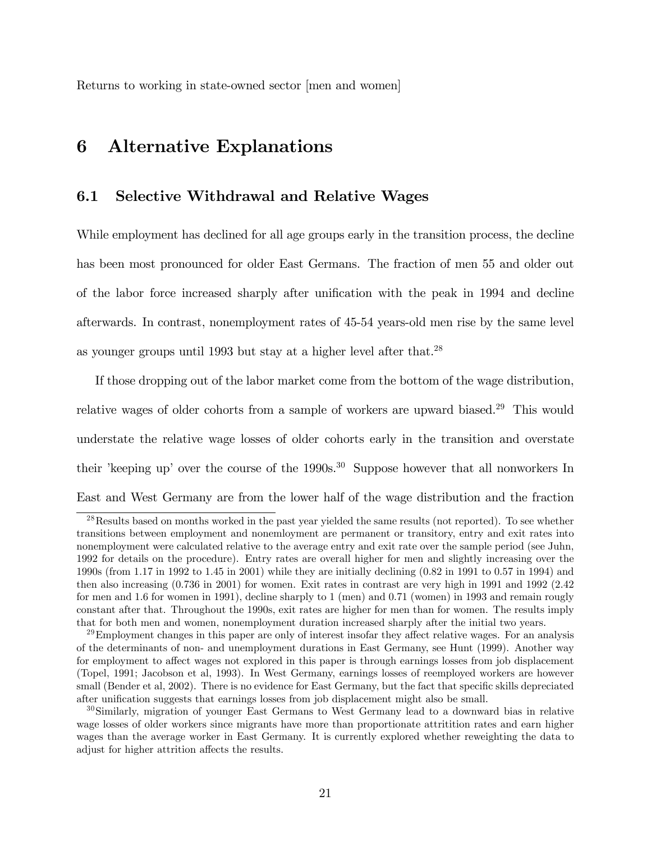Returns to working in state-owned sector [men and women]

# 6 Alternative Explanations

### 6.1 Selective Withdrawal and Relative Wages

While employment has declined for all age groups early in the transition process, the decline has been most pronounced for older East Germans. The fraction of men 55 and older out of the labor force increased sharply after unification with the peak in 1994 and decline afterwards. In contrast, nonemployment rates of 45-54 years-old men rise by the same level as younger groups until 1993 but stay at a higher level after that.<sup>28</sup>

If those dropping out of the labor market come from the bottom of the wage distribution, relative wages of older cohorts from a sample of workers are upward biased.<sup>29</sup> This would understate the relative wage losses of older cohorts early in the transition and overstate their 'keeping up' over the course of the  $1990s$ .<sup>30</sup> Suppose however that all nonworkers In East and West Germany are from the lower half of the wage distribution and the fraction

<sup>&</sup>lt;sup>28</sup>Results based on months worked in the past year yielded the same results (not reported). To see whether transitions between employment and nonemloyment are permanent or transitory, entry and exit rates into nonemployment were calculated relative to the average entry and exit rate over the sample period (see Juhn, 1992 for details on the procedure). Entry rates are overall higher for men and slightly increasing over the 1990s (from 1.17 in 1992 to 1.45 in 2001) while they are initially declining (0.82 in 1991 to 0.57 in 1994) and then also increasing (0.736 in 2001) for women. Exit rates in contrast are very high in 1991 and 1992 (2.42 for men and 1.6 for women in 1991), decline sharply to 1 (men) and 0.71 (women) in 1993 and remain rougly constant after that. Throughout the 1990s, exit rates are higher for men than for women. The results imply that for both men and women, nonemployment duration increased sharply after the initial two years.

 $^{29}$ Employment changes in this paper are only of interest insofar they affect relative wages. For an analysis of the determinants of non- and unemployment durations in East Germany, see Hunt (1999). Another way for employment to affect wages not explored in this paper is through earnings losses from job displacement (Topel, 1991; Jacobson et al, 1993). In West Germany, earnings losses of reemployed workers are however small (Bender et al, 2002). There is no evidence for East Germany, but the fact that specific skills depreciated after unification suggests that earnings losses from job displacement might also be small.

<sup>30</sup>Similarly, migration of younger East Germans to West Germany lead to a downward bias in relative wage losses of older workers since migrants have more than proportionate attritition rates and earn higher wages than the average worker in East Germany. It is currently explored whether reweighting the data to adjust for higher attrition affects the results.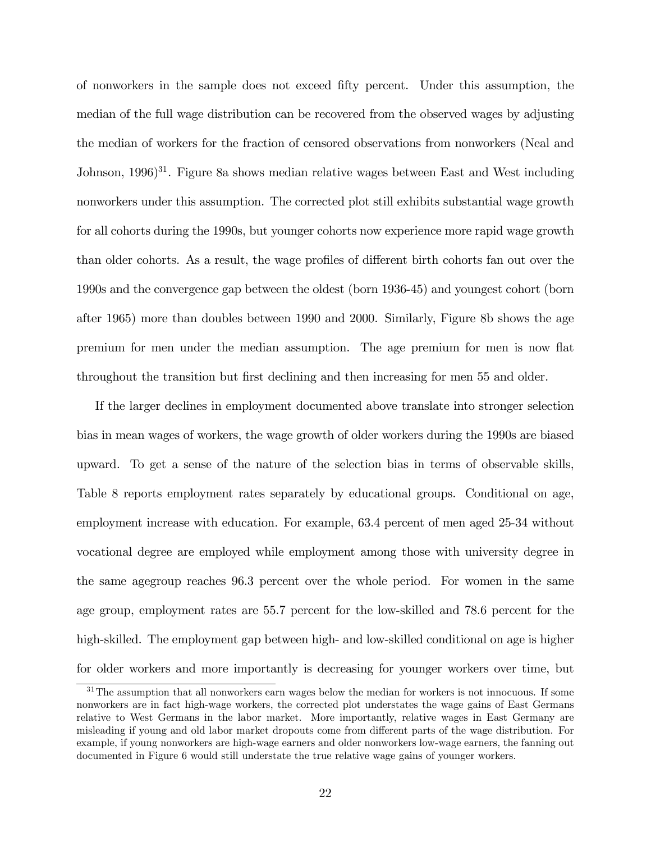of nonworkers in the sample does not exceed Öfty percent. Under this assumption, the median of the full wage distribution can be recovered from the observed wages by adjusting the median of workers for the fraction of censored observations from nonworkers (Neal and Johnson,  $1996$ <sup>31</sup>. Figure 8a shows median relative wages between East and West including nonworkers under this assumption. The corrected plot still exhibits substantial wage growth for all cohorts during the 1990s, but younger cohorts now experience more rapid wage growth than older cohorts. As a result, the wage profiles of different birth cohorts fan out over the 1990s and the convergence gap between the oldest (born 1936-45) and youngest cohort (born after 1965) more than doubles between 1990 and 2000. Similarly, Figure 8b shows the age premium for men under the median assumption. The age premium for men is now flat throughout the transition but first declining and then increasing for men 55 and older.

If the larger declines in employment documented above translate into stronger selection bias in mean wages of workers, the wage growth of older workers during the 1990s are biased upward. To get a sense of the nature of the selection bias in terms of observable skills, Table 8 reports employment rates separately by educational groups. Conditional on age, employment increase with education. For example, 63.4 percent of men aged 25-34 without vocational degree are employed while employment among those with university degree in the same agegroup reaches 96.3 percent over the whole period. For women in the same age group, employment rates are 55.7 percent for the low-skilled and 78.6 percent for the high-skilled. The employment gap between high- and low-skilled conditional on age is higher for older workers and more importantly is decreasing for younger workers over time, but

 $31$ The assumption that all nonworkers earn wages below the median for workers is not innocuous. If some nonworkers are in fact high-wage workers, the corrected plot understates the wage gains of East Germans relative to West Germans in the labor market. More importantly, relative wages in East Germany are misleading if young and old labor market dropouts come from different parts of the wage distribution. For example, if young nonworkers are high-wage earners and older nonworkers low-wage earners, the fanning out documented in Figure 6 would still understate the true relative wage gains of younger workers.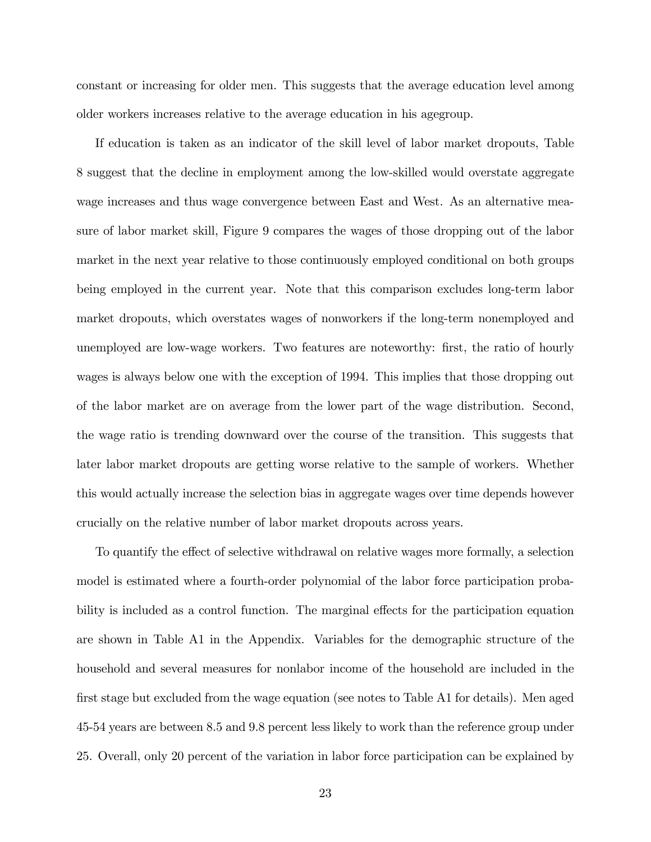constant or increasing for older men. This suggests that the average education level among older workers increases relative to the average education in his agegroup.

If education is taken as an indicator of the skill level of labor market dropouts, Table 8 suggest that the decline in employment among the low-skilled would overstate aggregate wage increases and thus wage convergence between East and West. As an alternative measure of labor market skill, Figure 9 compares the wages of those dropping out of the labor market in the next year relative to those continuously employed conditional on both groups being employed in the current year. Note that this comparison excludes long-term labor market dropouts, which overstates wages of nonworkers if the long-term nonemployed and unemployed are low-wage workers. Two features are noteworthy: first, the ratio of hourly wages is always below one with the exception of 1994. This implies that those dropping out of the labor market are on average from the lower part of the wage distribution. Second, the wage ratio is trending downward over the course of the transition. This suggests that later labor market dropouts are getting worse relative to the sample of workers. Whether this would actually increase the selection bias in aggregate wages over time depends however crucially on the relative number of labor market dropouts across years.

To quantify the effect of selective withdrawal on relative wages more formally, a selection model is estimated where a fourth-order polynomial of the labor force participation probability is included as a control function. The marginal effects for the participation equation are shown in Table A1 in the Appendix. Variables for the demographic structure of the household and several measures for nonlabor income of the household are included in the first stage but excluded from the wage equation (see notes to Table A1 for details). Men aged 45-54 years are between 8.5 and 9.8 percent less likely to work than the reference group under 25. Overall, only 20 percent of the variation in labor force participation can be explained by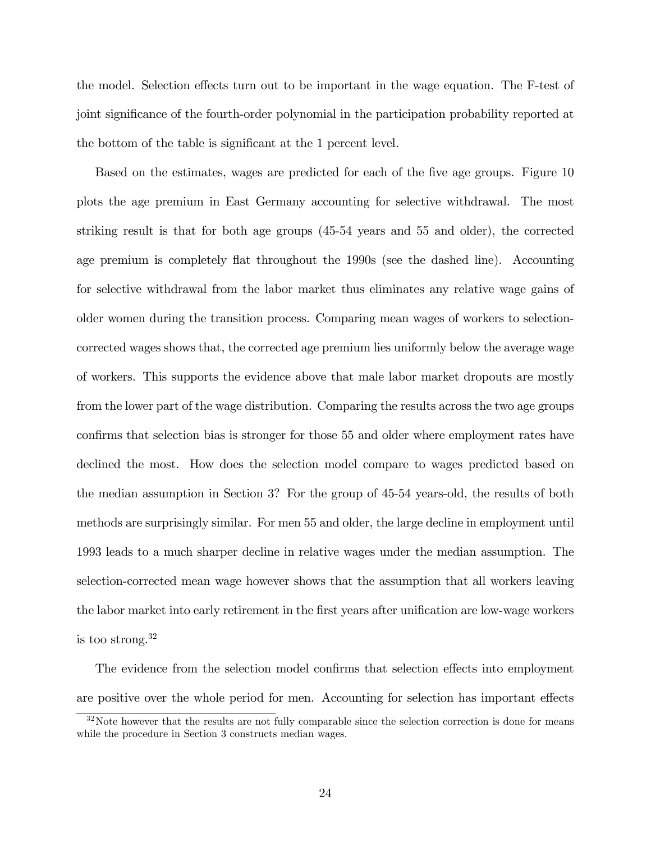the model. Selection effects turn out to be important in the wage equation. The F-test of joint significance of the fourth-order polynomial in the participation probability reported at the bottom of the table is significant at the 1 percent level.

Based on the estimates, wages are predicted for each of the five age groups. Figure 10 plots the age premium in East Germany accounting for selective withdrawal. The most striking result is that for both age groups (45-54 years and 55 and older), the corrected age premium is completely flat throughout the 1990s (see the dashed line). Accounting for selective withdrawal from the labor market thus eliminates any relative wage gains of older women during the transition process. Comparing mean wages of workers to selectioncorrected wages shows that, the corrected age premium lies uniformly below the average wage of workers. This supports the evidence above that male labor market dropouts are mostly from the lower part of the wage distribution. Comparing the results across the two age groups confirms that selection bias is stronger for those 55 and older where employment rates have declined the most. How does the selection model compare to wages predicted based on the median assumption in Section 3? For the group of 45-54 years-old, the results of both methods are surprisingly similar. For men 55 and older, the large decline in employment until 1993 leads to a much sharper decline in relative wages under the median assumption. The selection-corrected mean wage however shows that the assumption that all workers leaving the labor market into early retirement in the first years after unification are low-wage workers is too strong.<sup>32</sup>

The evidence from the selection model confirms that selection effects into employment are positive over the whole period for men. Accounting for selection has important effects

<sup>&</sup>lt;sup>32</sup>Note however that the results are not fully comparable since the selection correction is done for means while the procedure in Section 3 constructs median wages.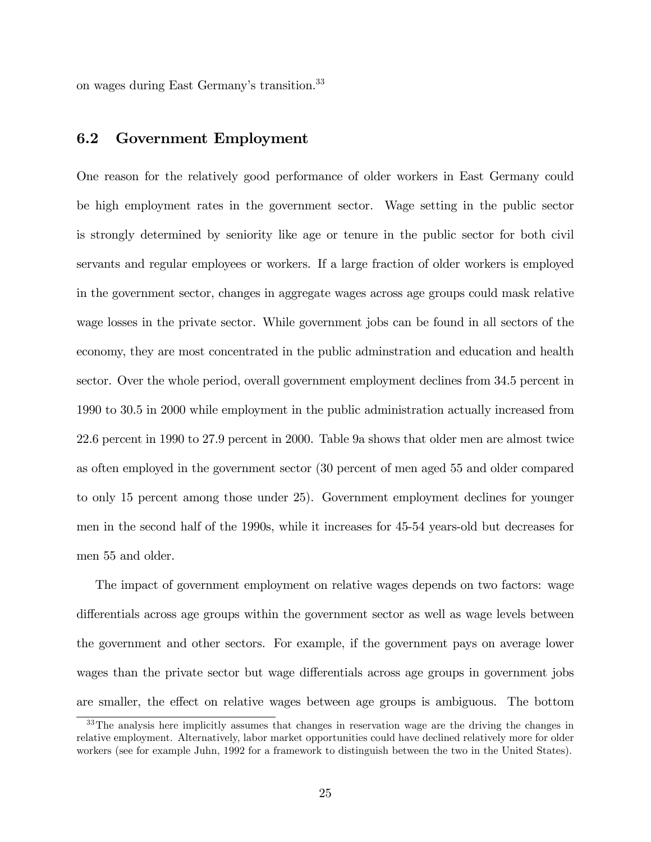on wages during East Germany's transition.<sup>33</sup>

### 6.2 Government Employment

One reason for the relatively good performance of older workers in East Germany could be high employment rates in the government sector. Wage setting in the public sector is strongly determined by seniority like age or tenure in the public sector for both civil servants and regular employees or workers. If a large fraction of older workers is employed in the government sector, changes in aggregate wages across age groups could mask relative wage losses in the private sector. While government jobs can be found in all sectors of the economy, they are most concentrated in the public adminstration and education and health sector. Over the whole period, overall government employment declines from 34.5 percent in 1990 to 30.5 in 2000 while employment in the public administration actually increased from 22.6 percent in 1990 to 27.9 percent in 2000. Table 9a shows that older men are almost twice as often employed in the government sector (30 percent of men aged 55 and older compared to only 15 percent among those under 25). Government employment declines for younger men in the second half of the 1990s, while it increases for 45-54 years-old but decreases for men 55 and older.

The impact of government employment on relative wages depends on two factors: wage differentials across age groups within the government sector as well as wage levels between the government and other sectors. For example, if the government pays on average lower wages than the private sector but wage differentials across age groups in government jobs are smaller, the effect on relative wages between age groups is ambiguous. The bottom

<sup>&</sup>lt;sup>33</sup>The analysis here implicitly assumes that changes in reservation wage are the driving the changes in relative employment. Alternatively, labor market opportunities could have declined relatively more for older workers (see for example Juhn, 1992 for a framework to distinguish between the two in the United States).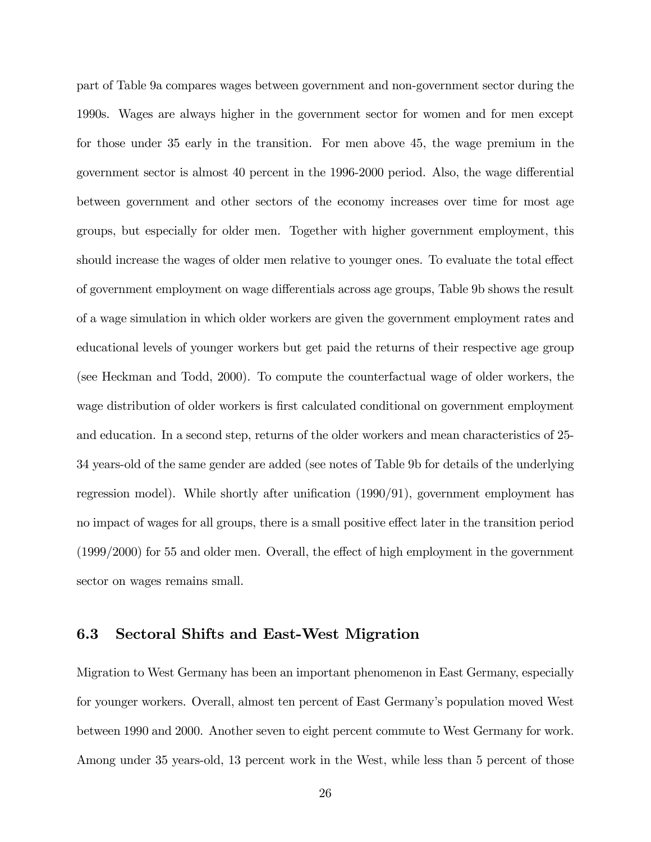part of Table 9a compares wages between government and non-government sector during the 1990s. Wages are always higher in the government sector for women and for men except for those under 35 early in the transition. For men above 45, the wage premium in the government sector is almost 40 percent in the 1996-2000 period. Also, the wage differential between government and other sectors of the economy increases over time for most age groups, but especially for older men. Together with higher government employment, this should increase the wages of older men relative to younger ones. To evaluate the total effect of government employment on wage differentials across age groups, Table 9b shows the result of a wage simulation in which older workers are given the government employment rates and educational levels of younger workers but get paid the returns of their respective age group (see Heckman and Todd, 2000). To compute the counterfactual wage of older workers, the wage distribution of older workers is first calculated conditional on government employment and education. In a second step, returns of the older workers and mean characteristics of 25- 34 years-old of the same gender are added (see notes of Table 9b for details of the underlying regression model). While shortly after unification  $(1990/91)$ , government employment has no impact of wages for all groups, there is a small positive effect later in the transition period  $(1999/2000)$  for 55 and older men. Overall, the effect of high employment in the government sector on wages remains small.

### 6.3 Sectoral Shifts and East-West Migration

Migration to West Germany has been an important phenomenon in East Germany, especially for younger workers. Overall, almost ten percent of East Germanyís population moved West between 1990 and 2000. Another seven to eight percent commute to West Germany for work. Among under 35 years-old, 13 percent work in the West, while less than 5 percent of those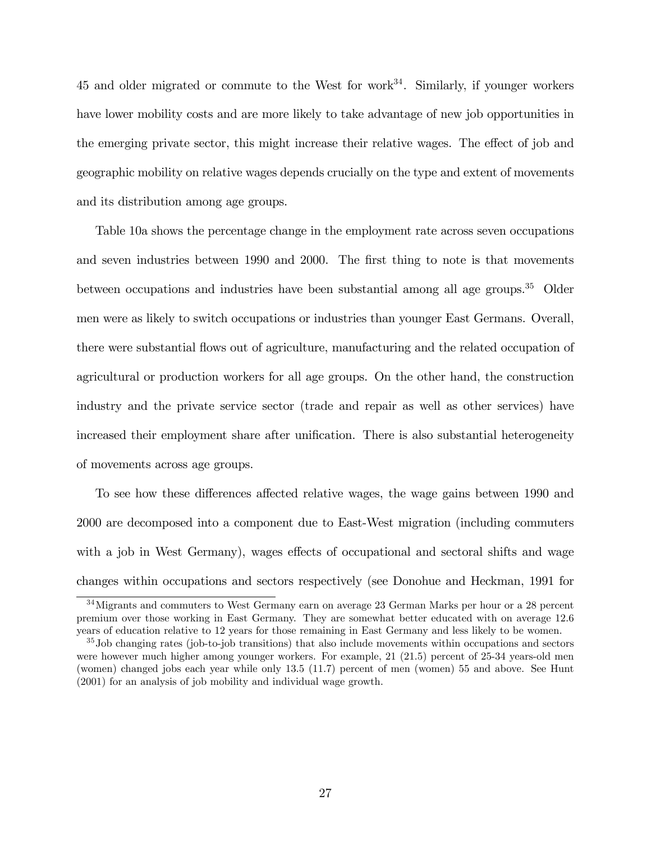45 and older migrated or commute to the West for work $34$ . Similarly, if younger workers have lower mobility costs and are more likely to take advantage of new job opportunities in the emerging private sector, this might increase their relative wages. The effect of job and geographic mobility on relative wages depends crucially on the type and extent of movements and its distribution among age groups.

Table 10a shows the percentage change in the employment rate across seven occupations and seven industries between 1990 and 2000. The first thing to note is that movements between occupations and industries have been substantial among all age groups.<sup>35</sup> Older men were as likely to switch occupations or industries than younger East Germans. Overall, there were substantial áows out of agriculture, manufacturing and the related occupation of agricultural or production workers for all age groups. On the other hand, the construction industry and the private service sector (trade and repair as well as other services) have increased their employment share after unification. There is also substantial heterogeneity of movements across age groups.

To see how these differences affected relative wages, the wage gains between 1990 and 2000 are decomposed into a component due to East-West migration (including commuters with a job in West Germany), wages effects of occupational and sectoral shifts and wage changes within occupations and sectors respectively (see Donohue and Heckman, 1991 for

<sup>&</sup>lt;sup>34</sup> Migrants and commuters to West Germany earn on average 23 German Marks per hour or a 28 percent premium over those working in East Germany. They are somewhat better educated with on average 12.6 years of education relative to 12 years for those remaining in East Germany and less likely to be women.

<sup>35</sup>Job changing rates (job-to-job transitions) that also include movements within occupations and sectors were however much higher among younger workers. For example, 21 (21.5) percent of 25-34 years-old men (women) changed jobs each year while only 13.5 (11.7) percent of men (women) 55 and above. See Hunt (2001) for an analysis of job mobility and individual wage growth.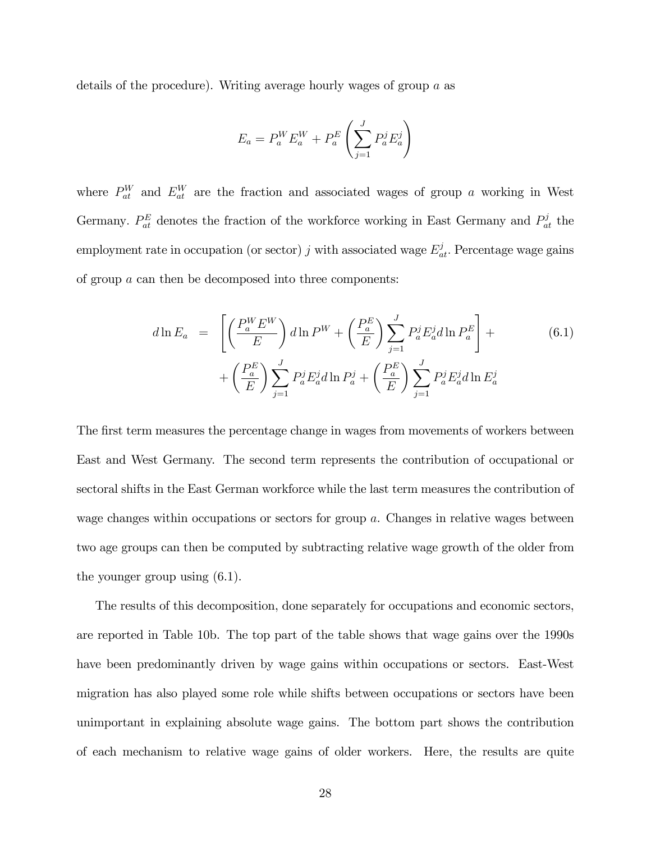details of the procedure). Writing average hourly wages of group a as

$$
E_a = P_a^W E_a^W + P_a^E \left( \sum_{j=1}^J P_a^j E_a^j \right)
$$

where  $P_{at}^{W}$  and  $E_{at}^{W}$  are the fraction and associated wages of group a working in West Germany.  $P_{at}^E$  denotes the fraction of the workforce working in East Germany and  $P_{at}^j$  the employment rate in occupation (or sector) j with associated wage  $E_{at}^{j}$ . Percentage wage gains of group a can then be decomposed into three components:

$$
d\ln E_a = \left[ \left( \frac{P_a^W E^W}{E} \right) d\ln P^W + \left( \frac{P_a^E}{E} \right) \sum_{j=1}^J P_a^j E_a^j d\ln P_a^E \right] + \left( \frac{P_a^E}{E} \right) \sum_{j=1}^J P_a^j E_a^j d\ln P_a^j + \left( \frac{P_a^E}{E} \right) \sum_{j=1}^J P_a^j E_a^j d\ln E_a^j
$$
\n(6.1)

The first term measures the percentage change in wages from movements of workers between East and West Germany. The second term represents the contribution of occupational or sectoral shifts in the East German workforce while the last term measures the contribution of wage changes within occupations or sectors for group a. Changes in relative wages between two age groups can then be computed by subtracting relative wage growth of the older from the younger group using (6.1).

The results of this decomposition, done separately for occupations and economic sectors, are reported in Table 10b. The top part of the table shows that wage gains over the 1990s have been predominantly driven by wage gains within occupations or sectors. East-West migration has also played some role while shifts between occupations or sectors have been unimportant in explaining absolute wage gains. The bottom part shows the contribution of each mechanism to relative wage gains of older workers. Here, the results are quite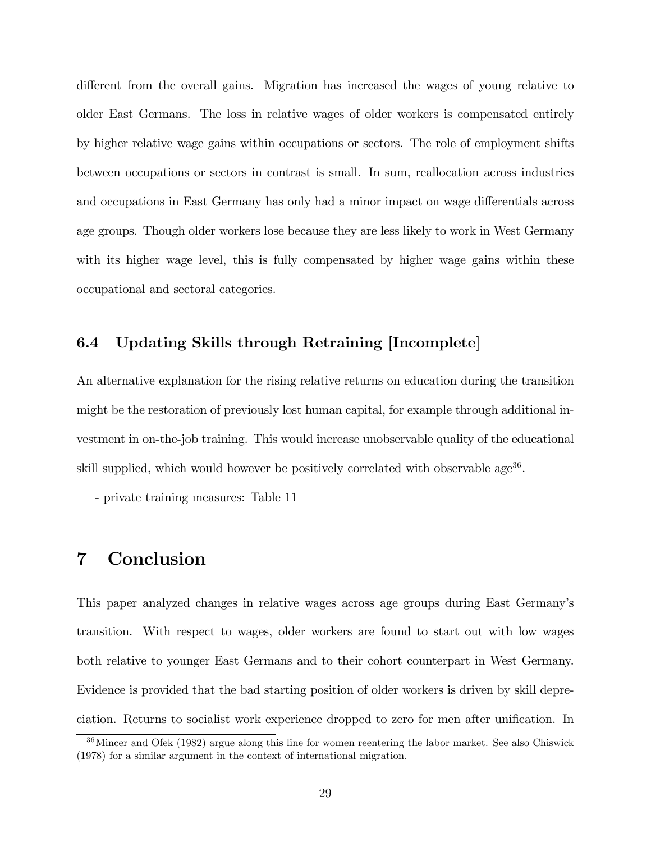different from the overall gains. Migration has increased the wages of young relative to older East Germans. The loss in relative wages of older workers is compensated entirely by higher relative wage gains within occupations or sectors. The role of employment shifts between occupations or sectors in contrast is small. In sum, reallocation across industries and occupations in East Germany has only had a minor impact on wage differentials across age groups. Though older workers lose because they are less likely to work in West Germany with its higher wage level, this is fully compensated by higher wage gains within these occupational and sectoral categories.

## 6.4 Updating Skills through Retraining [Incomplete]

An alternative explanation for the rising relative returns on education during the transition might be the restoration of previously lost human capital, for example through additional investment in on-the-job training. This would increase unobservable quality of the educational skill supplied, which would however be positively correlated with observable age<sup>36</sup>.

- private training measures: Table 11

# 7 Conclusion

This paper analyzed changes in relative wages across age groups during East Germanyís transition. With respect to wages, older workers are found to start out with low wages both relative to younger East Germans and to their cohort counterpart in West Germany. Evidence is provided that the bad starting position of older workers is driven by skill depreciation. Returns to socialist work experience dropped to zero for men after unification. In

<sup>36</sup>Mincer and Ofek (1982) argue along this line for women reentering the labor market. See also Chiswick (1978) for a similar argument in the context of international migration.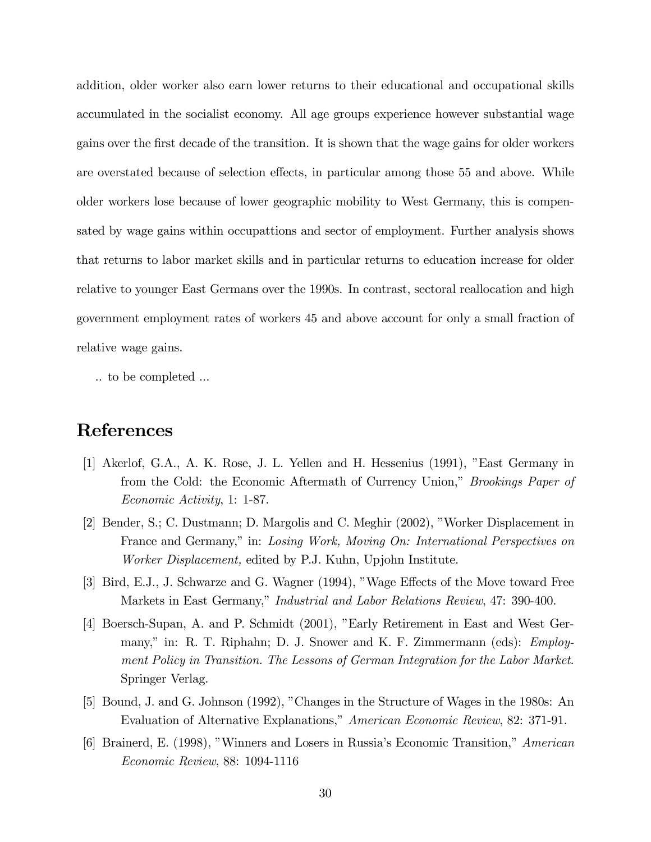addition, older worker also earn lower returns to their educational and occupational skills accumulated in the socialist economy. All age groups experience however substantial wage gains over the Örst decade of the transition. It is shown that the wage gains for older workers are overstated because of selection effects, in particular among those 55 and above. While older workers lose because of lower geographic mobility to West Germany, this is compensated by wage gains within occupattions and sector of employment. Further analysis shows that returns to labor market skills and in particular returns to education increase for older relative to younger East Germans over the 1990s. In contrast, sectoral reallocation and high government employment rates of workers 45 and above account for only a small fraction of relative wage gains.

.. to be completed ...

# References

- [1] Akerlof, G.A., A. K. Rose, J. L. Yellen and H. Hessenius (1991), "East Germany in from the Cold: the Economic Aftermath of Currency Union," *Brookings Paper of* Economic Activity, 1: 1-87.
- [2] Bender, S.; C. Dustmann; D. Margolis and C. Meghir (2002), "Worker Displacement in France and Germany," in: Losing Work, Moving On: International Perspectives on Worker Displacement, edited by P.J. Kuhn, Upjohn Institute.
- [3] Bird, E.J., J. Schwarze and G. Wagner (1994), "Wage Effects of the Move toward Free Markets in East Germany," Industrial and Labor Relations Review, 47: 390-400.
- [4] Boersch-Supan, A. and P. Schmidt (2001), "Early Retirement in East and West Germany," in: R. T. Riphahn; D. J. Snower and K. F. Zimmermann (eds): *Employ*ment Policy in Transition. The Lessons of German Integration for the Labor Market. Springer Verlag.
- [5] Bound, J. and G. Johnson (1992), "Changes in the Structure of Wages in the 1980s: An Evaluation of Alternative Explanations," American Economic Review, 82: 371-91.
- [6] Brainerd, E. (1998), "Winners and Losers in Russia's Economic Transition," American Economic Review, 88: 1094-1116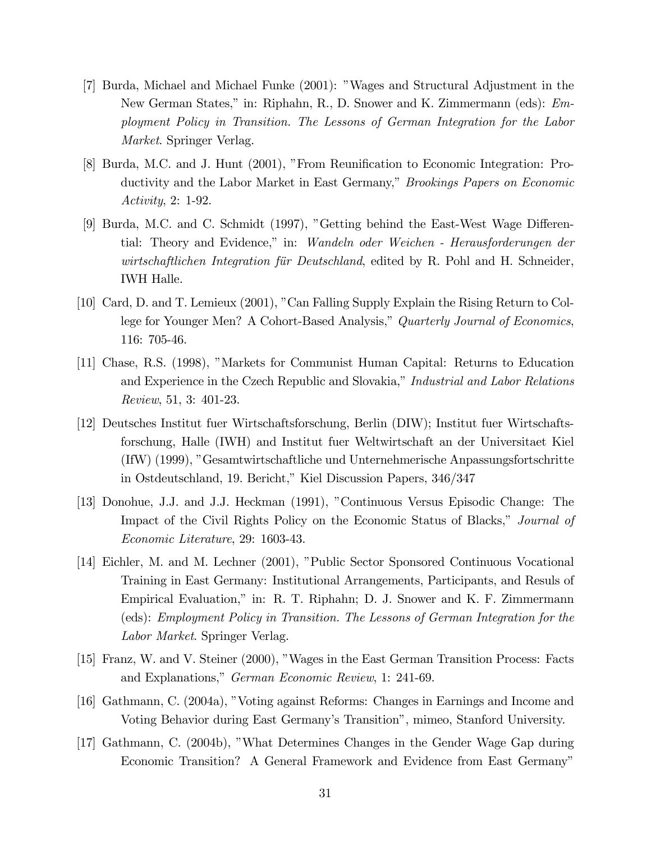- [7] Burda, Michael and Michael Funke (2001): îWages and Structural Adjustment in the New German States," in: Riphahn, R., D. Snower and K. Zimmermann (eds): *Em*ployment Policy in Transition. The Lessons of German Integration for the Labor Market. Springer Verlag.
- [8] Burda, M.C. and J. Hunt (2001), "From Reunification to Economic Integration: Productivity and the Labor Market in East Germany," *Brookings Papers on Economic* Activity, 2: 1-92.
- [9] Burda, M.C. and C. Schmidt (1997), "Getting behind the East-West Wage Differential: Theory and Evidence," in: Wandeln oder Weichen - Herausforderungen der wirtschaftlichen Integration für Deutschland, edited by R. Pohl and H. Schneider, IWH Halle.
- [10] Card, D. and T. Lemieux (2001), "Can Falling Supply Explain the Rising Return to College for Younger Men? A Cohort-Based Analysis," Quarterly Journal of Economics, 116: 705-46.
- [11] Chase, R.S. (1998), "Markets for Communist Human Capital: Returns to Education and Experience in the Czech Republic and Slovakia," Industrial and Labor Relations Review, 51, 3: 401-23.
- [12] Deutsches Institut fuer Wirtschaftsforschung, Berlin (DIW); Institut fuer Wirtschaftsforschung, Halle (IWH) and Institut fuer Weltwirtschaft an der Universitaet Kiel (IfW) (1999), îGesamtwirtschaftliche und Unternehmerische Anpassungsfortschritte in Ostdeutschland, 19. Bericht," Kiel Discussion Papers, 346/347
- [13] Donohue, J.J. and J.J. Heckman (1991), îContinuous Versus Episodic Change: The Impact of the Civil Rights Policy on the Economic Status of Blacks," Journal of Economic Literature, 29: 1603-43.
- [14] Eichler, M. and M. Lechner (2001), "Public Sector Sponsored Continuous Vocational Training in East Germany: Institutional Arrangements, Participants, and Resuls of Empirical Evaluation," in: R. T. Riphahn; D. J. Snower and K. F. Zimmermann (eds): Employment Policy in Transition. The Lessons of German Integration for the Labor Market. Springer Verlag.
- [15] Franz, W. and V. Steiner (2000), îWages in the East German Transition Process: Facts and Explanations," German Economic Review, 1: 241-69.
- [16] Gathmann, C. (2004a), "Voting against Reforms: Changes in Earnings and Income and Voting Behavior during East Germanyís Transitionî, mimeo, Stanford University.
- [17] Gathmann, C. (2004b), îWhat Determines Changes in the Gender Wage Gap during Economic Transition? A General Framework and Evidence from East Germany"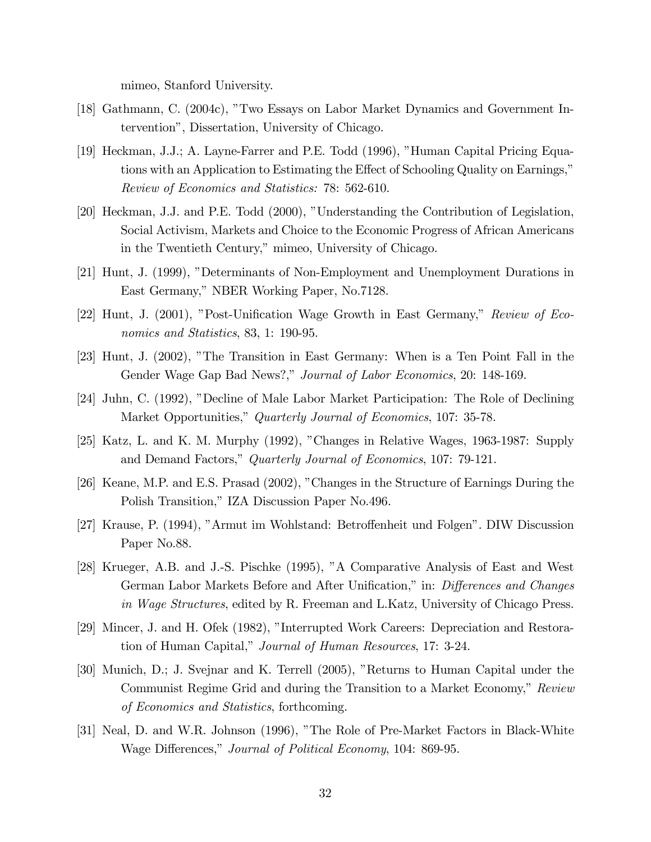mimeo, Stanford University.

- [18] Gathmann, C. (2004c), îTwo Essays on Labor Market Dynamics and Government Interventionî, Dissertation, University of Chicago.
- [19] Heckman, J.J.; A. Layne-Farrer and P.E. Todd (1996), "Human Capital Pricing Equations with an Application to Estimating the Effect of Schooling Quality on Earnings," Review of Economics and Statistics: 78: 562-610.
- [20] Heckman, J.J. and P.E. Todd (2000), "Understanding the Contribution of Legislation, Social Activism, Markets and Choice to the Economic Progress of African Americans in the Twentieth Century," mimeo, University of Chicago.
- [21] Hunt, J. (1999), "Determinants of Non-Employment and Unemployment Durations in East Germany," NBER Working Paper, No.7128.
- $[22]$  Hunt, J.  $(2001)$ , "Post-Unification Wage Growth in East Germany," Review of Economics and Statistics, 83, 1: 190-95.
- [23] Hunt, J. (2002), "The Transition in East Germany: When is a Ten Point Fall in the Gender Wage Gap Bad News?," Journal of Labor Economics, 20: 148-169.
- [24] Juhn, C. (1992), "Decline of Male Labor Market Participation: The Role of Declining Market Opportunities," Quarterly Journal of Economics, 107: 35-78.
- [25] Katz, L. and K. M. Murphy (1992), îChanges in Relative Wages, 1963-1987: Supply and Demand Factors," Quarterly Journal of Economics, 107: 79-121.
- [26] Keane, M.P. and E.S. Prasad (2002), îChanges in the Structure of Earnings During the Polish Transition," IZA Discussion Paper No.496.
- [27] Krause, P. (1994), "Armut im Wohlstand: Betroffenheit und Folgen". DIW Discussion Paper No.88.
- [28] Krueger, A.B. and J.-S. Pischke (1995), îA Comparative Analysis of East and West German Labor Markets Before and After Unification," in: *Differences and Changes* in Wage Structures, edited by R. Freeman and L.Katz, University of Chicago Press.
- [29] Mincer, J. and H. Ofek (1982), "Interrupted Work Careers: Depreciation and Restoration of Human Capital," Journal of Human Resources, 17: 3-24.
- [30] Munich, D.; J. Svejnar and K. Terrell (2005), "Returns to Human Capital under the Communist Regime Grid and during the Transition to a Market Economy," Review of Economics and Statistics, forthcoming.
- [31] Neal, D. and W.R. Johnson (1996), "The Role of Pre-Market Factors in Black-White Wage Differences," Journal of Political Economy, 104: 869-95.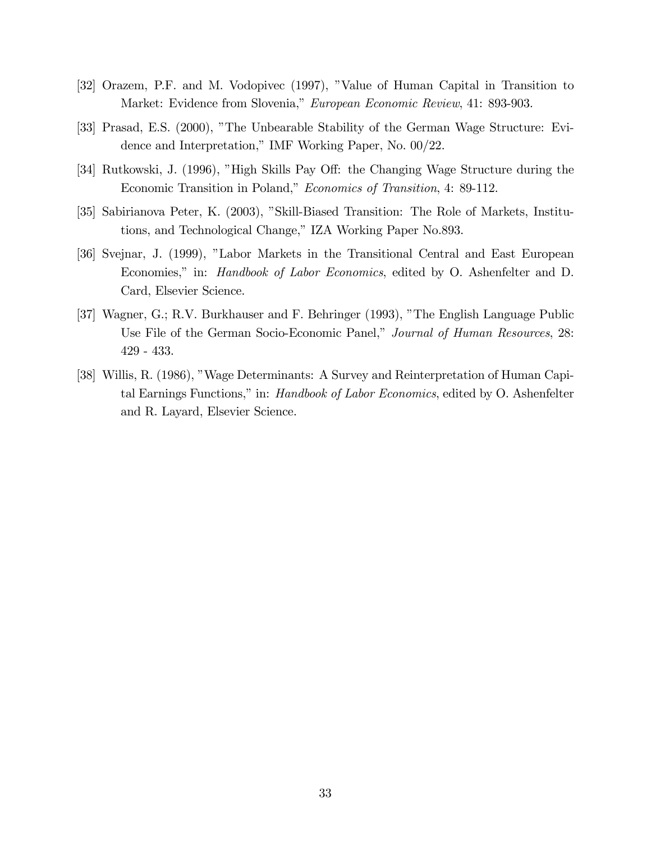- [32] Orazem, P.F. and M. Vodopivec (1997), îValue of Human Capital in Transition to Market: Evidence from Slovenia," European Economic Review, 41: 893-903.
- [33] Prasad, E.S. (2000), "The Unbearable Stability of the German Wage Structure: Evidence and Interpretation," IMF Working Paper, No. 00/22.
- [34] Rutkowski, J. (1996), "High Skills Pay Off: the Changing Wage Structure during the Economic Transition in Poland," Economics of Transition, 4: 89-112.
- [35] Sabirianova Peter, K. (2003), "Skill-Biased Transition: The Role of Markets, Institutions, and Technological Change," IZA Working Paper No.893.
- [36] Svejnar, J. (1999), îLabor Markets in the Transitional Central and East European Economies," in: *Handbook of Labor Economics*, edited by O. Ashenfelter and D. Card, Elsevier Science.
- [37] Wagner, G.; R.V. Burkhauser and F. Behringer (1993), "The English Language Public Use File of the German Socio-Economic Panel," Journal of Human Resources, 28: 429 - 433.
- [38] Willis, R. (1986), "Wage Determinants: A Survey and Reinterpretation of Human Capital Earnings Functions," in: *Handbook of Labor Economics*, edited by O. Ashenfelter and R. Layard, Elsevier Science.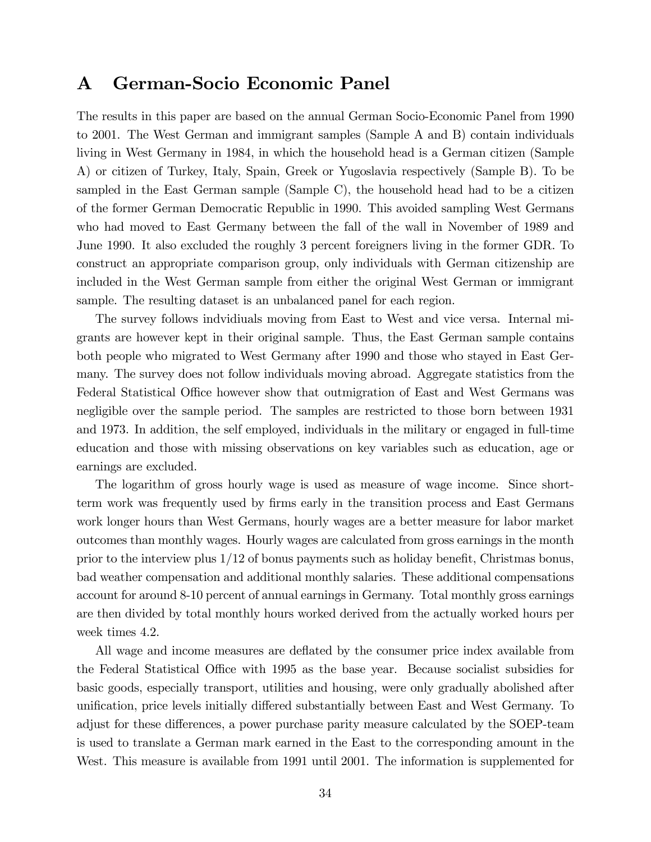# A German-Socio Economic Panel

The results in this paper are based on the annual German Socio-Economic Panel from 1990 to 2001. The West German and immigrant samples (Sample A and B) contain individuals living in West Germany in 1984, in which the household head is a German citizen (Sample A) or citizen of Turkey, Italy, Spain, Greek or Yugoslavia respectively (Sample B). To be sampled in the East German sample (Sample C), the household head had to be a citizen of the former German Democratic Republic in 1990. This avoided sampling West Germans who had moved to East Germany between the fall of the wall in November of 1989 and June 1990. It also excluded the roughly 3 percent foreigners living in the former GDR. To construct an appropriate comparison group, only individuals with German citizenship are included in the West German sample from either the original West German or immigrant sample. The resulting dataset is an unbalanced panel for each region.

The survey follows indvidiuals moving from East to West and vice versa. Internal migrants are however kept in their original sample. Thus, the East German sample contains both people who migrated to West Germany after 1990 and those who stayed in East Germany. The survey does not follow individuals moving abroad. Aggregate statistics from the Federal Statistical Office however show that outmigration of East and West Germans was negligible over the sample period. The samples are restricted to those born between 1931 and 1973. In addition, the self employed, individuals in the military or engaged in full-time education and those with missing observations on key variables such as education, age or earnings are excluded.

The logarithm of gross hourly wage is used as measure of wage income. Since shortterm work was frequently used by Örms early in the transition process and East Germans work longer hours than West Germans, hourly wages are a better measure for labor market outcomes than monthly wages. Hourly wages are calculated from gross earnings in the month prior to the interview plus  $1/12$  of bonus payments such as holiday benefit, Christmas bonus, bad weather compensation and additional monthly salaries. These additional compensations account for around 8-10 percent of annual earnings in Germany. Total monthly gross earnings are then divided by total monthly hours worked derived from the actually worked hours per week times 4.2.

All wage and income measures are deflated by the consumer price index available from the Federal Statistical Office with 1995 as the base year. Because socialist subsidies for basic goods, especially transport, utilities and housing, were only gradually abolished after unification, price levels initially differed substantially between East and West Germany. To adjust for these differences, a power purchase parity measure calculated by the SOEP-team is used to translate a German mark earned in the East to the corresponding amount in the West. This measure is available from 1991 until 2001. The information is supplemented for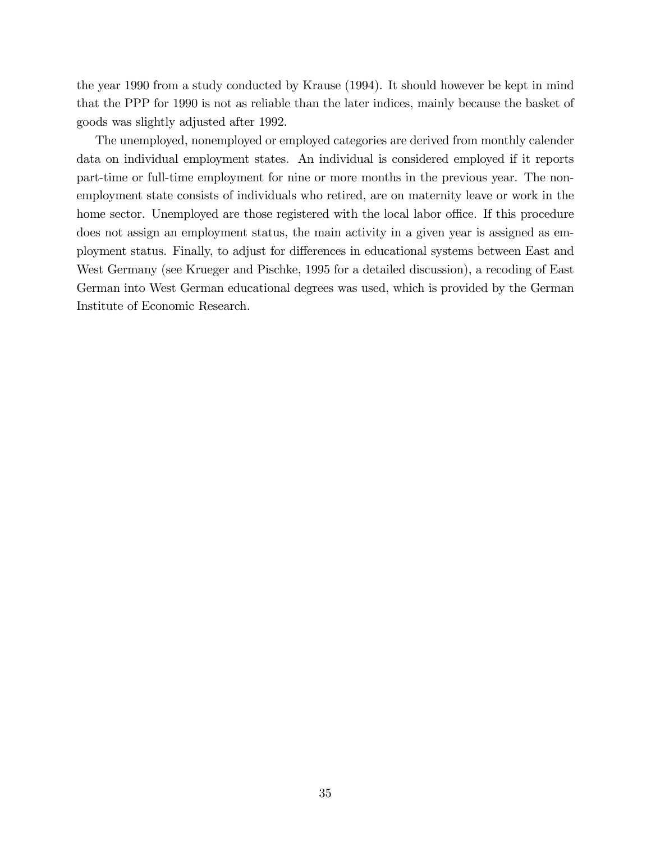the year 1990 from a study conducted by Krause (1994). It should however be kept in mind that the PPP for 1990 is not as reliable than the later indices, mainly because the basket of goods was slightly adjusted after 1992.

The unemployed, nonemployed or employed categories are derived from monthly calender data on individual employment states. An individual is considered employed if it reports part-time or full-time employment for nine or more months in the previous year. The nonemployment state consists of individuals who retired, are on maternity leave or work in the home sector. Unemployed are those registered with the local labor office. If this procedure does not assign an employment status, the main activity in a given year is assigned as employment status. Finally, to adjust for differences in educational systems between East and West Germany (see Krueger and Pischke, 1995 for a detailed discussion), a recoding of East German into West German educational degrees was used, which is provided by the German Institute of Economic Research.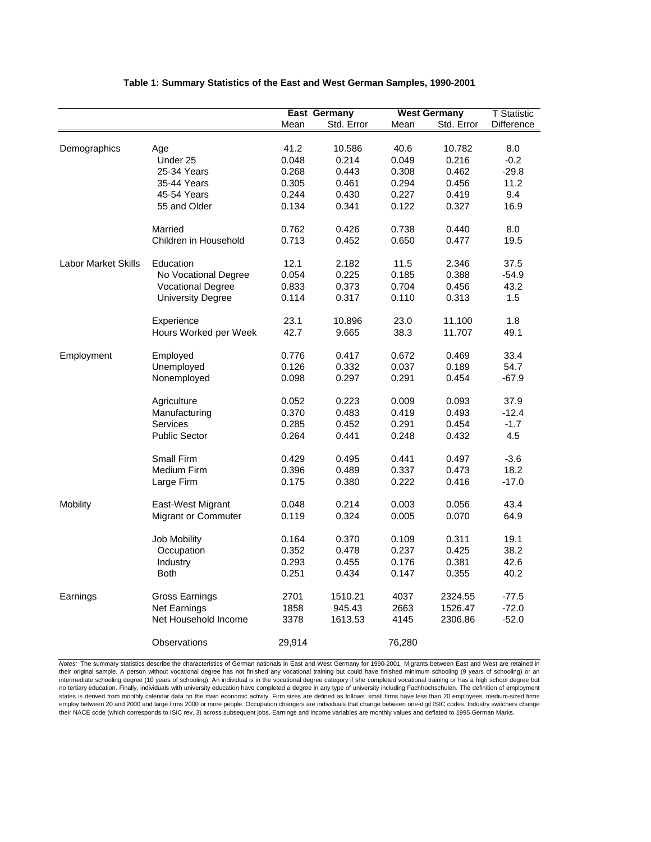|                            |                          |        | <b>East Germany</b> |        | <b>West Germany</b> | <b>T</b> Statistic |
|----------------------------|--------------------------|--------|---------------------|--------|---------------------|--------------------|
|                            |                          | Mean   | Std. Error          | Mean   | Std. Error          | Difference         |
|                            |                          |        |                     |        |                     |                    |
| Demographics               | Age                      | 41.2   | 10.586              | 40.6   | 10.782              | 8.0                |
|                            | Under 25                 | 0.048  | 0.214               | 0.049  | 0.216               | $-0.2$             |
|                            | 25-34 Years              | 0.268  | 0.443               | 0.308  | 0.462               | -29.8              |
|                            | 35-44 Years              | 0.305  | 0.461               | 0.294  | 0.456               | 11.2               |
|                            |                          |        |                     |        |                     |                    |
|                            | 45-54 Years              | 0.244  | 0.430               | 0.227  | 0.419               | 9.4<br>16.9        |
|                            | 55 and Older             | 0.134  | 0.341               | 0.122  | 0.327               |                    |
|                            | Married                  | 0.762  | 0.426               | 0.738  | 0.440               | 8.0                |
|                            | Children in Household    | 0.713  | 0.452               | 0.650  | 0.477               | 19.5               |
|                            |                          |        |                     |        |                     |                    |
| <b>Labor Market Skills</b> | Education                | 12.1   | 2.182               | 11.5   | 2.346               | 37.5               |
|                            | No Vocational Degree     | 0.054  | 0.225               | 0.185  | 0.388               | $-54.9$            |
|                            | <b>Vocational Degree</b> | 0.833  | 0.373               | 0.704  | 0.456               | 43.2               |
|                            | <b>University Degree</b> | 0.114  | 0.317               | 0.110  | 0.313               | 1.5                |
|                            |                          |        |                     |        |                     |                    |
|                            | Experience               | 23.1   | 10.896              | 23.0   | 11.100              | 1.8                |
|                            | Hours Worked per Week    | 42.7   | 9.665               | 38.3   | 11.707              | 49.1               |
|                            |                          |        |                     |        |                     |                    |
| Employment                 | Employed                 | 0.776  | 0.417               | 0.672  | 0.469               | 33.4               |
|                            | Unemployed               | 0.126  | 0.332               | 0.037  | 0.189               | 54.7               |
|                            | Nonemployed              | 0.098  | 0.297               | 0.291  | 0.454               | -67.9              |
|                            |                          |        |                     |        |                     |                    |
|                            | Agriculture              | 0.052  | 0.223               | 0.009  | 0.093               | 37.9               |
|                            | Manufacturing            | 0.370  | 0.483               | 0.419  | 0.493               | $-12.4$            |
|                            | Services                 | 0.285  | 0.452               | 0.291  | 0.454               | $-1.7$             |
|                            | <b>Public Sector</b>     | 0.264  | 0.441               | 0.248  | 0.432               | 4.5                |
|                            |                          |        |                     |        |                     |                    |
|                            | <b>Small Firm</b>        | 0.429  | 0.495               | 0.441  | 0.497               | $-3.6$             |
|                            | Medium Firm              | 0.396  | 0.489               | 0.337  | 0.473               | 18.2               |
|                            | Large Firm               | 0.175  | 0.380               | 0.222  | 0.416               | $-17.0$            |
|                            |                          |        |                     |        |                     |                    |
| Mobility                   | East-West Migrant        | 0.048  | 0.214               | 0.003  | 0.056               | 43.4               |
|                            | Migrant or Commuter      | 0.119  | 0.324               | 0.005  | 0.070               | 64.9               |
|                            |                          |        |                     |        |                     |                    |
|                            | <b>Job Mobility</b>      | 0.164  | 0.370               | 0.109  | 0.311               | 19.1               |
|                            | Occupation               | 0.352  | 0.478               | 0.237  | 0.425               | 38.2               |
|                            | Industry                 | 0.293  | 0.455               | 0.176  | 0.381               | 42.6               |
|                            | <b>Both</b>              | 0.251  | 0.434               | 0.147  | 0.355               | 40.2               |
| Earnings                   | <b>Gross Earnings</b>    | 2701   | 1510.21             | 4037   | 2324.55             | $-77.5$            |
|                            | Net Earnings             | 1858   | 945.43              | 2663   | 1526.47             | $-72.0$            |
|                            | Net Household Income     |        |                     |        |                     |                    |
|                            |                          | 3378   | 1613.53             | 4145   | 2306.86             | $-52.0$            |
|                            | Observations             | 29,914 |                     | 76,280 |                     |                    |

#### **Table 1: Summary Statistics of the East and West German Samples, 1990-2001**

*Notes:* The summary statistics describe the characteristics of German nationals in East and West Germany for 1990-2001. Migrants between East and West are retained in their original sample. A person without vocational degree has not finished any vocational training but could have finished minimum schooling (9 years of schooling) or an intermediate schooling degree (10 years of schooling). An individual is in the vocational degree category if she completed vocational training or has a high school degree but<br>no tertiary education. Finally, individuals wit states is derived from monthly calendar data on the main economic activity. Firm sizes are defined as follows: small firms have less than 20 employees, medium-sized firms employ between 20 and 2000 and large firms 2000 or more people. Occupation changers are individuals that change between one-digit ISIC codes. Industry switchers change their NACE code (which corresponds to ISIC rev. 3) across subsequent jobs. Earnings and income variables are monthly values and deflated to 1995 German Marks.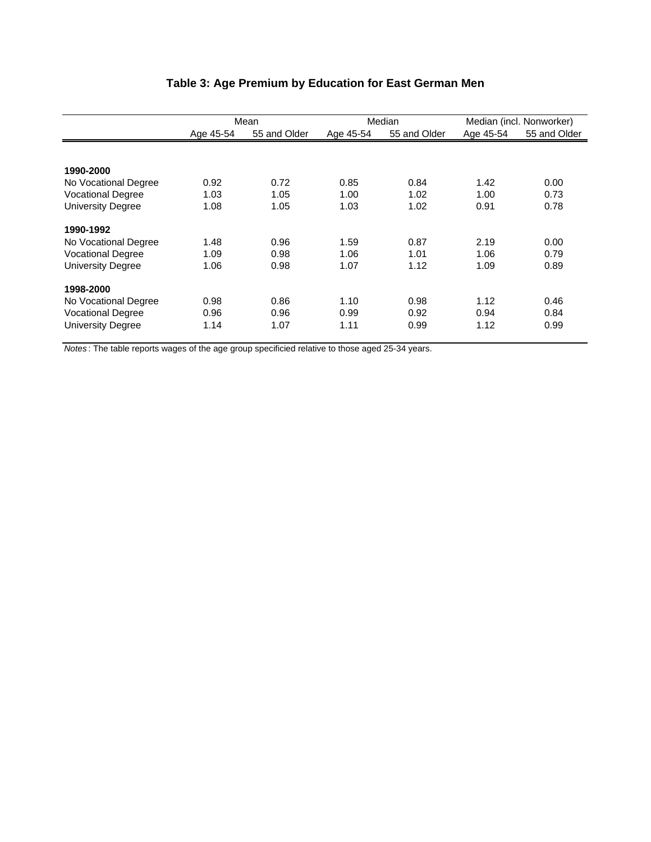|                          |           | Mean         |           | Median       | Median (incl. Nonworker) |              |
|--------------------------|-----------|--------------|-----------|--------------|--------------------------|--------------|
|                          | Age 45-54 | 55 and Older | Age 45-54 | 55 and Older | Age 45-54                | 55 and Older |
|                          |           |              |           |              |                          |              |
| 1990-2000                |           |              |           |              |                          |              |
| No Vocational Degree     | 0.92      | 0.72         | 0.85      | 0.84         | 1.42                     | 0.00         |
| <b>Vocational Degree</b> | 1.03      | 1.05         | 1.00      | 1.02         | 1.00                     | 0.73         |
| <b>University Degree</b> | 1.08      | 1.05         | 1.03      | 1.02         | 0.91                     | 0.78         |
| 1990-1992                |           |              |           |              |                          |              |
| No Vocational Degree     | 1.48      | 0.96         | 1.59      | 0.87         | 2.19                     | 0.00         |
| <b>Vocational Degree</b> | 1.09      | 0.98         | 1.06      | 1.01         | 1.06                     | 0.79         |
| <b>University Degree</b> | 1.06      | 0.98         | 1.07      | 1.12         | 1.09                     | 0.89         |
| 1998-2000                |           |              |           |              |                          |              |
| No Vocational Degree     | 0.98      | 0.86         | 1.10      | 0.98         | 1.12                     | 0.46         |
| <b>Vocational Degree</b> | 0.96      | 0.96         | 0.99      | 0.92         | 0.94                     | 0.84         |
| <b>University Degree</b> | 1.14      | 1.07         | 1.11      | 0.99         | 1.12                     | 0.99         |

# **Table 3: Age Premium by Education for East German Men**

*Notes* : The table reports wages of the age group specificied relative to those aged 25-34 years.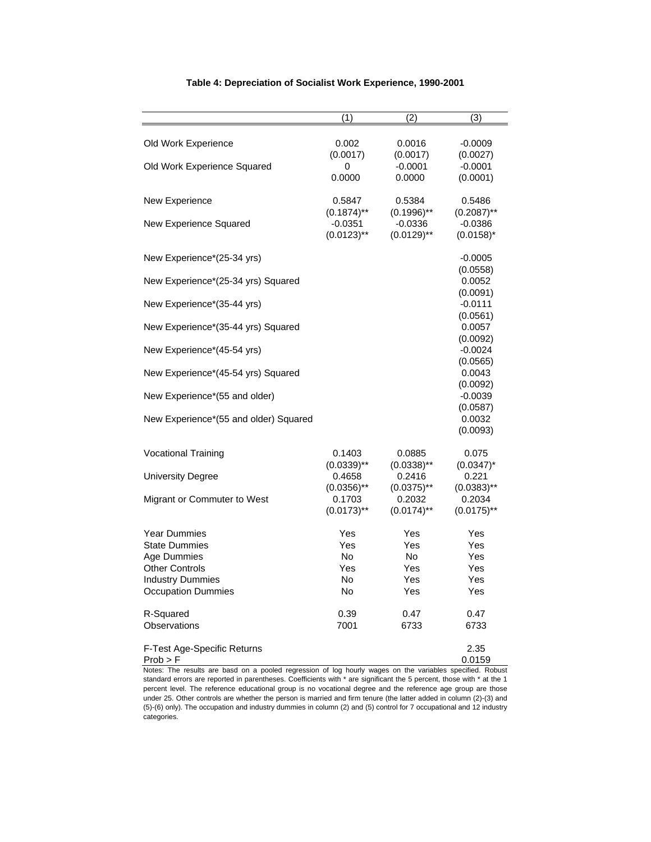|                                       | (1)           | (2)           | (3)                   |
|---------------------------------------|---------------|---------------|-----------------------|
|                                       |               |               |                       |
| Old Work Experience                   | 0.002         | 0.0016        | $-0.0009$             |
|                                       | (0.0017)      | (0.0017)      | (0.0027)              |
| Old Work Experience Squared           | 0             | $-0.0001$     | $-0.0001$             |
|                                       | 0.0000        | 0.0000        | (0.0001)              |
|                                       |               |               |                       |
| New Experience                        | 0.5847        | 0.5384        | 0.5486                |
|                                       | $(0.1874)$ ** | $(0.1996)$ ** | $(0.2087)$ **         |
| New Experience Squared                | $-0.0351$     | $-0.0336$     | $-0.0386$             |
|                                       | $(0.0123)$ ** | $(0.0129)$ ** | $(0.0158)^{*}$        |
|                                       |               |               |                       |
| New Experience*(25-34 yrs)            |               |               | $-0.0005$             |
|                                       |               |               | (0.0558)              |
| New Experience*(25-34 yrs) Squared    |               |               | 0.0052                |
|                                       |               |               | (0.0091)<br>$-0.0111$ |
| New Experience*(35-44 yrs)            |               |               | (0.0561)              |
| New Experience*(35-44 yrs) Squared    |               |               | 0.0057                |
|                                       |               |               | (0.0092)              |
| New Experience*(45-54 yrs)            |               |               | $-0.0024$             |
|                                       |               |               | (0.0565)              |
| New Experience*(45-54 yrs) Squared    |               |               | 0.0043                |
|                                       |               |               | (0.0092)              |
| New Experience*(55 and older)         |               |               | $-0.0039$             |
|                                       |               |               | (0.0587)              |
| New Experience*(55 and older) Squared |               |               | 0.0032                |
|                                       |               |               | (0.0093)              |
|                                       |               |               |                       |
| <b>Vocational Training</b>            | 0.1403        | 0.0885        | 0.075                 |
|                                       | $(0.0339)$ ** | $(0.0338)$ ** | $(0.0347)^*$          |
| University Degree                     | 0.4658        | 0.2416        | 0.221                 |
|                                       | $(0.0356)$ ** | $(0.0375)$ ** | $(0.0383)$ **         |
| Migrant or Commuter to West           | 0.1703        | 0.2032        | 0.2034                |
|                                       | $(0.0173)$ ** | $(0.0174)$ ** | $(0.0175)$ **         |
| <b>Year Dummies</b>                   | Yes           | Yes           | Yes                   |
| <b>State Dummies</b>                  | Yes           | Yes           | Yes                   |
| Age Dummies                           | No.           | No            | Yes                   |
| <b>Other Controls</b>                 | Yes           | Yes           | Yes                   |
| <b>Industry Dummies</b>               | No.           | Yes           | Yes                   |
| <b>Occupation Dummies</b>             | No            | Yes           | Yes                   |
|                                       |               |               |                       |
| R-Squared                             | 0.39          | 0.47          | 0.47                  |
| Observations                          | 7001          | 6733          | 6733                  |
|                                       |               |               |                       |
| F-Test Age-Specific Returns           |               |               | 2.35                  |
| $Prob$ > F                            |               |               | 0.0159                |

#### **Table 4: Depreciation of Socialist Work Experience, 1990-2001**

Notes: The results are basd on a pooled regression of log hourly wages on the variables specified. Robust standard errors are reported in parentheses. Coefficients with \* are significant the 5 percent, those with \* at the 1 percent level. The reference educational group is no vocational degree and the reference age group are those under 25. Other controls are whether the person is married and firm tenure (the latter added in column (2)-(3) and (5)-(6) only). The occupation and industry dummies in column (2) and (5) control for 7 occupational and 12 industry categories.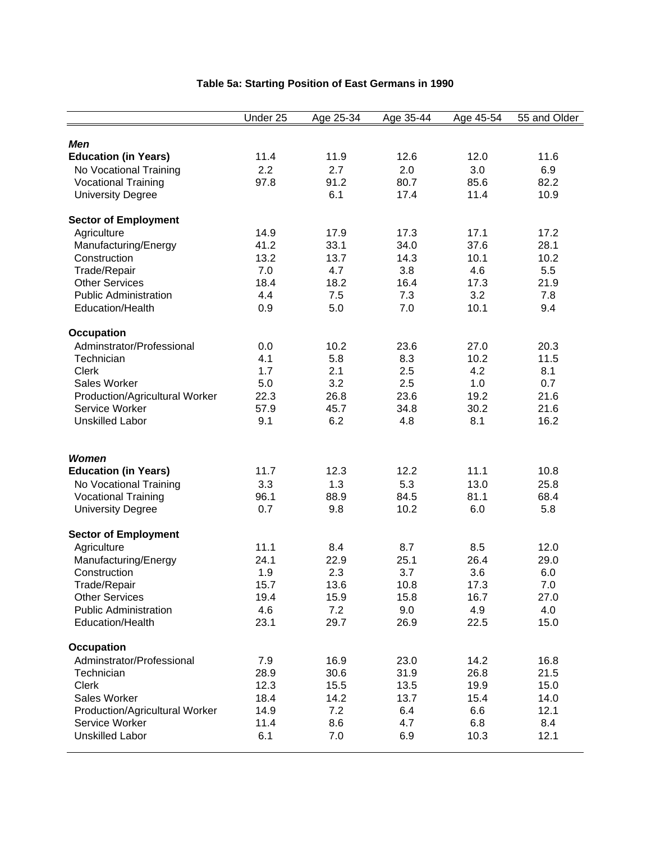|                                                        | Under 25 | Age 25-34   | Age 35-44    | Age 45-54    | 55 and Older |
|--------------------------------------------------------|----------|-------------|--------------|--------------|--------------|
|                                                        |          |             |              |              |              |
| <b>Men</b>                                             |          |             |              |              |              |
| <b>Education (in Years)</b>                            | 11.4     | 11.9        | 12.6         | 12.0         | 11.6         |
| No Vocational Training                                 | 2.2      | 2.7         | 2.0          | 3.0          | 6.9          |
| <b>Vocational Training</b><br><b>University Degree</b> | 97.8     | 91.2<br>6.1 | 80.7<br>17.4 | 85.6<br>11.4 | 82.2<br>10.9 |
|                                                        |          |             |              |              |              |
| <b>Sector of Employment</b>                            |          |             |              |              |              |
| Agriculture                                            | 14.9     | 17.9        | 17.3         | 17.1         | 17.2         |
| Manufacturing/Energy                                   | 41.2     | 33.1        | 34.0         | 37.6         | 28.1         |
| Construction                                           | 13.2     | 13.7        | 14.3         | 10.1         | 10.2         |
| Trade/Repair                                           | 7.0      | 4.7         | 3.8          | 4.6          | 5.5          |
| <b>Other Services</b>                                  | 18.4     | 18.2        | 16.4         | 17.3         | 21.9         |
| <b>Public Administration</b>                           | 4.4      | 7.5         | 7.3          | 3.2          | 7.8          |
| Education/Health                                       | 0.9      | 5.0         | 7.0          | 10.1         | 9.4          |
| <b>Occupation</b>                                      |          |             |              |              |              |
| Adminstrator/Professional                              | 0.0      | 10.2        | 23.6         | 27.0         | 20.3         |
| Technician                                             | 4.1      | 5.8         | 8.3          | 10.2         | 11.5         |
| <b>Clerk</b>                                           | 1.7      | 2.1         | 2.5          | 4.2          | 8.1          |
| Sales Worker                                           | 5.0      | 3.2         | 2.5          | 1.0          | 0.7          |
| Production/Agricultural Worker                         | 22.3     | 26.8        | 23.6         | 19.2         | 21.6         |
| Service Worker                                         | 57.9     | 45.7        | 34.8         | 30.2         | 21.6         |
| <b>Unskilled Labor</b>                                 | 9.1      | 6.2         | 4.8          | 8.1          | 16.2         |
|                                                        |          |             |              |              |              |
| <b>Women</b>                                           |          |             |              |              |              |
| <b>Education (in Years)</b>                            | 11.7     | 12.3        | 12.2         | 11.1         | 10.8         |
| No Vocational Training                                 | 3.3      | 1.3         | 5.3          | 13.0         | 25.8         |
| <b>Vocational Training</b>                             | 96.1     | 88.9        | 84.5         | 81.1         | 68.4         |
| <b>University Degree</b>                               | 0.7      | 9.8         | 10.2         | 6.0          | 5.8          |
| <b>Sector of Employment</b>                            |          |             |              |              |              |
| Agriculture                                            | 11.1     | 8.4         | 8.7          | 8.5          | 12.0         |
| Manufacturing/Energy                                   | 24.1     | 22.9        | 25.1         | 26.4         | 29.0         |
| Construction                                           | 1.9      | 2.3         | 3.7          | 3.6          | 6.0          |
| Trade/Repair                                           | 15.7     | 13.6        | 10.8         | 17.3         | 7.0          |
| <b>Other Services</b>                                  | 19.4     | 15.9        | 15.8         | 16.7         | 27.0         |
| <b>Public Administration</b>                           | 4.6      | 7.2         | 9.0          | 4.9          | 4.0          |
| Education/Health                                       | 23.1     | 29.7        | 26.9         | 22.5         | 15.0         |
| <b>Occupation</b>                                      |          |             |              |              |              |
| Adminstrator/Professional                              | 7.9      | 16.9        | 23.0         | 14.2         | 16.8         |
| Technician                                             | 28.9     | 30.6        | 31.9         | 26.8         | 21.5         |
| <b>Clerk</b>                                           | 12.3     | 15.5        | 13.5         | 19.9         | 15.0         |
| Sales Worker                                           | 18.4     | 14.2        | 13.7         | 15.4         | 14.0         |
| Production/Agricultural Worker                         | 14.9     | 7.2         | 6.4          | 6.6          | 12.1         |
| Service Worker                                         | 11.4     | 8.6         | 4.7          | 6.8          | 8.4          |
| <b>Unskilled Labor</b>                                 | 6.1      | 7.0         | 6.9          | 10.3         | 12.1         |
|                                                        |          |             |              |              |              |

# **Table 5a: Starting Position of East Germans in 1990**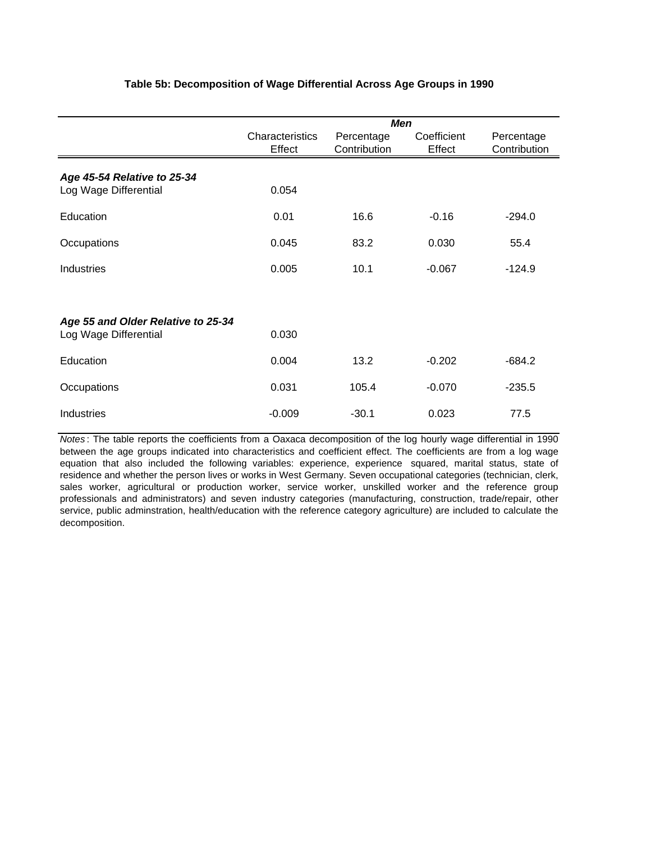### **Table 5b: Decomposition of Wage Differential Across Age Groups in 1990**

|                                                      | <b>Men</b>                |                            |                       |                            |  |  |
|------------------------------------------------------|---------------------------|----------------------------|-----------------------|----------------------------|--|--|
|                                                      | Characteristics<br>Effect | Percentage<br>Contribution | Coefficient<br>Effect | Percentage<br>Contribution |  |  |
| Age 45-54 Relative to 25-34<br>Log Wage Differential | 0.054                     |                            |                       |                            |  |  |
| Education                                            | 0.01                      | 16.6                       | $-0.16$               | $-294.0$                   |  |  |
| Occupations                                          | 0.045                     | 83.2                       | 0.030                 | 55.4                       |  |  |
| Industries                                           | 0.005                     | 10.1                       | $-0.067$              | $-124.9$                   |  |  |
|                                                      |                           |                            |                       |                            |  |  |
| Age 55 and Older Relative to 25-34                   |                           |                            |                       |                            |  |  |
| Log Wage Differential                                | 0.030                     |                            |                       |                            |  |  |
| Education                                            | 0.004                     | 13.2                       | $-0.202$              | $-684.2$                   |  |  |
| Occupations                                          | 0.031                     | 105.4                      | $-0.070$              | $-235.5$                   |  |  |
| Industries                                           | $-0.009$                  | $-30.1$                    | 0.023                 | 77.5                       |  |  |

*Notes* : The table reports the coefficients from a Oaxaca decomposition of the log hourly wage differential in 1990 between the age groups indicated into characteristics and coefficient effect. The coefficients are from a log wage equation that also included the following variables: experience, experience squared, marital status, state of residence and whether the person lives or works in West Germany. Seven occupational categories (technician, clerk, sales worker, agricultural or production worker, service worker, unskilled worker and the reference group professionals and administrators) and seven industry categories (manufacturing, construction, trade/repair, other service, public adminstration, health/education with the reference category agriculture) are included to calculate the decomposition.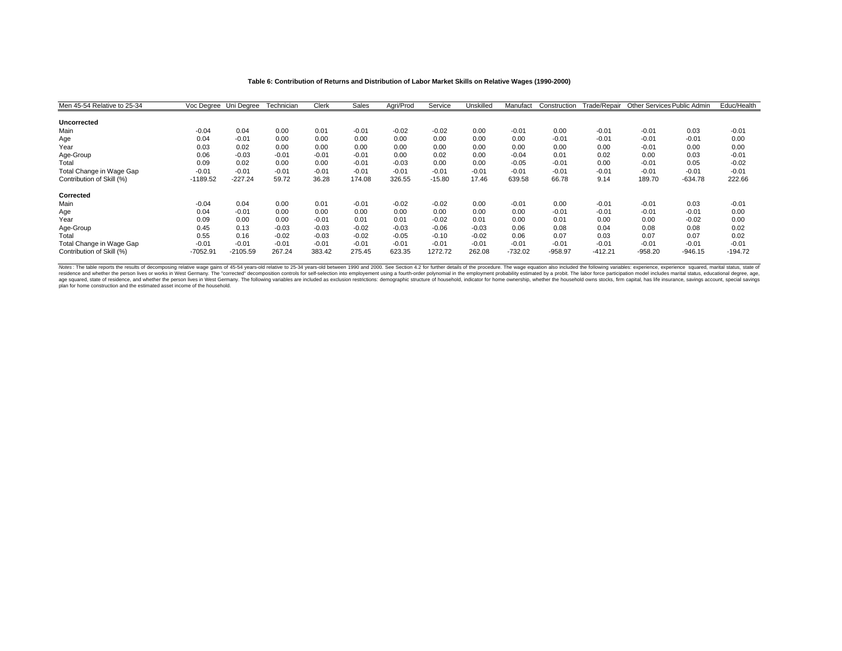#### **Table 6: Contribution of Returns and Distribution of Labor Market Skills on Relative Wages (1990-2000)**

| Men 45-54 Relative to 25-34 | Voc Degree Uni Degree |            | Technician | Clerk   | Sales   | Aari/Prod | Service  | Unskilled | Manufact  | Construction | Trade/Repair | Other Services Public Admin |           | Educ/Health |
|-----------------------------|-----------------------|------------|------------|---------|---------|-----------|----------|-----------|-----------|--------------|--------------|-----------------------------|-----------|-------------|
| <b>Uncorrected</b>          |                       |            |            |         |         |           |          |           |           |              |              |                             |           |             |
| Main                        | $-0.04$               | 0.04       | 0.00       | 0.01    | $-0.01$ | $-0.02$   | $-0.02$  | 0.00      | $-0.01$   | 0.00         | $-0.01$      | $-0.01$                     | 0.03      | $-0.01$     |
| Age                         | 0.04                  | $-0.01$    | 0.00       | 0.00    | 0.00    | 0.00      | 0.00     | 0.00      | 0.00      | $-0.01$      | $-0.01$      | $-0.01$                     | $-0.01$   | 0.00        |
| Year                        | 0.03                  | 0.02       | 0.00       | 0.00    | 0.00    | 0.00      | 0.00     | 0.00      | 0.00      | 0.00         | 0.00         | $-0.01$                     | 0.00      | 0.00        |
| Age-Group                   | 0.06                  | $-0.03$    | $-0.01$    | $-0.01$ | $-0.01$ | 0.00      | 0.02     | 0.00      | $-0.04$   | 0.01         | 0.02         | 0.00                        | 0.03      | $-0.01$     |
| Total                       | 0.09                  | 0.02       | 0.00       | 0.00    | $-0.01$ | $-0.03$   | 0.00     | 0.00      | $-0.05$   | $-0.01$      | 0.00         | $-0.01$                     | 0.05      | $-0.02$     |
| Total Change in Wage Gap    | $-0.01$               | $-0.01$    | $-0.01$    | $-0.01$ | $-0.01$ | $-0.01$   | $-0.01$  | $-0.01$   | $-0.01$   | $-0.01$      | $-0.01$      | $-0.01$                     | $-0.01$   | $-0.01$     |
| Contribution of Skill (%)   | $-1189.52$            | $-227.24$  | 59.72      | 36.28   | 174.08  | 326.55    | $-15.80$ | 17.46     | 639.58    | 66.78        | 9.14         | 189.70                      | $-634.78$ | 222.66      |
| Corrected                   |                       |            |            |         |         |           |          |           |           |              |              |                             |           |             |
| Main                        | $-0.04$               | 0.04       | 0.00       | 0.01    | $-0.01$ | $-0.02$   | $-0.02$  | 0.00      | $-0.01$   | 0.00         | $-0.01$      | $-0.01$                     | 0.03      | $-0.01$     |
| Age                         | 0.04                  | $-0.01$    | 0.00       | 0.00    | 0.00    | 0.00      | 0.00     | 0.00      | 0.00      | $-0.01$      | $-0.01$      | $-0.01$                     | $-0.01$   | 0.00        |
| Year                        | 0.09                  | 0.00       | 0.00       | $-0.01$ | 0.01    | 0.01      | $-0.02$  | 0.01      | 0.00      | 0.01         | 0.00         | 0.00                        | $-0.02$   | 0.00        |
| Age-Group                   | 0.45                  | 0.13       | $-0.03$    | $-0.03$ | $-0.02$ | $-0.03$   | $-0.06$  | $-0.03$   | 0.06      | 0.08         | 0.04         | 0.08                        | 0.08      | 0.02        |
| Total                       | 0.55                  | 0.16       | $-0.02$    | $-0.03$ | $-0.02$ | $-0.05$   | $-0.10$  | $-0.02$   | 0.06      | 0.07         | 0.03         | 0.07                        | 0.07      | 0.02        |
| Total Change in Wage Gap    | $-0.01$               | $-0.01$    | $-0.01$    | $-0.01$ | $-0.01$ | $-0.01$   | $-0.01$  | $-0.01$   | $-0.01$   | $-0.01$      | $-0.01$      | $-0.01$                     | $-0.01$   | $-0.01$     |
| Contribution of Skill (%)   | $-7052.91$            | $-2105.59$ | 267.24     | 383.42  | 275.45  | 623.35    | 1272.72  | 262.08    | $-732.02$ | $-958.97$    | $-412.21$    | $-958.20$                   | $-946.15$ | $-194.72$   |

Notes: The table reports the results of decomposing relative wage gains of 45-54 years-old relative to 25-34 years-old between 1990 and 2000. See Section 4.2 for further details of the procedure. The wage equation also nic plan for home construction and the estimated asset income of the household.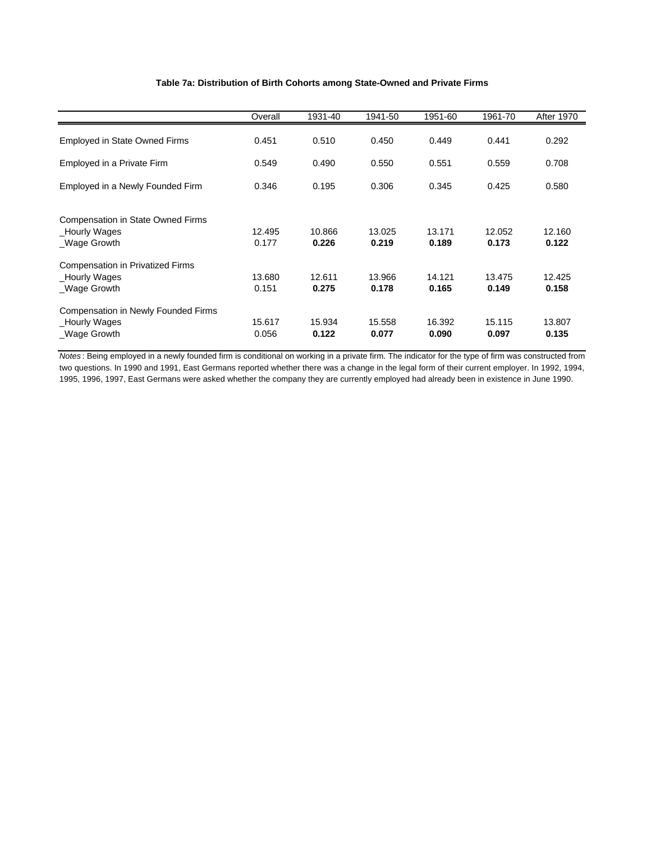#### **Table 7a: Distribution of Birth Cohorts among State-Owned and Private Firms**

|                                                                             | Overall         | 1931-40         | 1941-50         | 1951-60         | 1961-70         | <b>After 1970</b> |
|-----------------------------------------------------------------------------|-----------------|-----------------|-----------------|-----------------|-----------------|-------------------|
| <b>Employed in State Owned Firms</b>                                        | 0.451           | 0.510           | 0.450           | 0.449           | 0.441           | 0.292             |
| Employed in a Private Firm                                                  | 0.549           | 0.490           | 0.550           | 0.551           | 0.559           | 0.708             |
| Employed in a Newly Founded Firm                                            | 0.346           | 0.195           | 0.306           | 0.345           | 0.425           | 0.580             |
| Compensation in State Owned Firms<br>_Hourly Wages<br>Wage Growth           | 12.495<br>0.177 | 10.866<br>0.226 | 13.025<br>0.219 | 13.171<br>0.189 | 12.052<br>0.173 | 12.160<br>0.122   |
| <b>Compensation in Privatized Firms</b><br>_Hourly Wages<br>_Wage Growth    | 13.680<br>0.151 | 12.611<br>0.275 | 13.966<br>0.178 | 14.121<br>0.165 | 13.475<br>0.149 | 12.425<br>0.158   |
| <b>Compensation in Newly Founded Firms</b><br>_Hourly Wages<br>_Wage Growth | 15.617<br>0.056 | 15.934<br>0.122 | 15.558<br>0.077 | 16.392<br>0.090 | 15.115<br>0.097 | 13.807<br>0.135   |

*Notes* : Being employed in a newly founded firm is conditional on working in a private firm. The indicator for the type of firm was constructed from two questions. In 1990 and 1991, East Germans reported whether there was a change in the legal form of their current employer. In 1992, 1994, 1995, 1996, 1997, East Germans were asked whether the company they are currently employed had already been in existence in June 1990.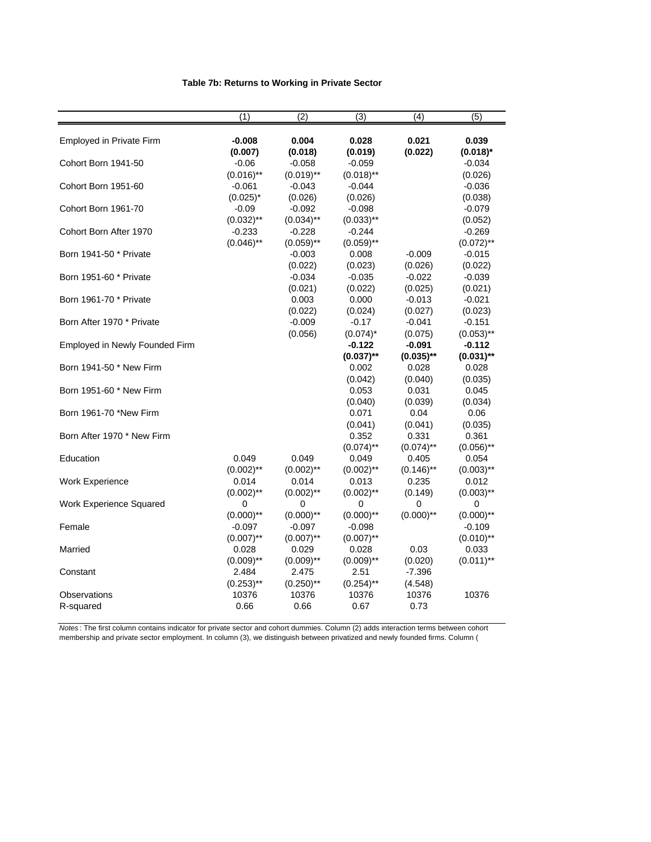### **Table 7b: Returns to Working in Private Sector**

|                                                             | (1)                                | $\overline{2}$                      | $\overline{3}$                      | (4)                             | $\overline{(5)}$                     |
|-------------------------------------------------------------|------------------------------------|-------------------------------------|-------------------------------------|---------------------------------|--------------------------------------|
| Employed in Private Firm                                    | $-0.008$                           | 0.004                               | 0.028                               | 0.021                           | 0.039                                |
| Cohort Born 1941-50                                         | (0.007)<br>$-0.06$<br>$(0.016)$ ** | (0.018)<br>$-0.058$<br>$(0.019)$ ** | (0.019)<br>$-0.059$<br>$(0.018)$ ** | (0.022)                         | $(0.018)^*$<br>$-0.034$<br>(0.026)   |
| Cohort Born 1951-60                                         | $-0.061$<br>$(0.025)^*$            | -0.043<br>(0.026)                   | $-0.044$<br>(0.026)                 |                                 | $-0.036$<br>(0.038)                  |
| Cohort Born 1961-70                                         | $-0.09$<br>$(0.032)$ **            | $-0.092$<br>$(0.034)$ **            | $-0.098$<br>$(0.033)$ **            |                                 | $-0.079$<br>(0.052)                  |
| Cohort Born After 1970                                      | $-0.233$<br>$(0.046)$ **           | $-0.228$<br>$(0.059)$ **            | $-0.244$<br>$(0.059)$ **            |                                 | $-0.269$<br>$(0.072)$ **             |
| Born 1941-50 * Private                                      |                                    | $-0.003$<br>(0.022)                 | 0.008<br>(0.023)                    | $-0.009$<br>(0.026)             | $-0.015$<br>(0.022)                  |
| Born 1951-60 * Private                                      |                                    | $-0.034$<br>(0.021)                 | $-0.035$<br>(0.022)                 | $-0.022$<br>(0.025)             | $-0.039$<br>(0.021)                  |
| Born 1961-70 * Private                                      |                                    | 0.003<br>(0.022)                    | 0.000<br>(0.024)                    | $-0.013$<br>(0.027)             | $-0.021$<br>(0.023)                  |
| Born After 1970 * Private<br>Employed in Newly Founded Firm |                                    | $-0.009$<br>(0.056)                 | $-0.17$<br>$(0.074)^*$<br>$-0.122$  | $-0.041$<br>(0.075)<br>$-0.091$ | $-0.151$<br>$(0.053)$ **<br>$-0.112$ |
| Born 1941-50 * New Firm                                     |                                    |                                     | $(0.037)$ **<br>0.002               | $(0.035)$ **<br>0.028           | $(0.031)$ **<br>0.028                |
| Born 1951-60 * New Firm                                     |                                    |                                     | (0.042)<br>0.053                    | (0.040)<br>0.031                | (0.035)<br>0.045                     |
| Born 1961-70 *New Firm                                      |                                    |                                     | (0.040)<br>0.071                    | (0.039)<br>0.04                 | (0.034)<br>0.06                      |
| Born After 1970 * New Firm                                  |                                    |                                     | (0.041)<br>0.352                    | (0.041)<br>0.331                | (0.035)<br>0.361                     |
| Education                                                   | 0.049                              | 0.049                               | $(0.074)$ **<br>0.049               | $(0.074)$ **<br>0.405           | $(0.056)$ **<br>0.054                |
| Work Experience                                             | $(0.002)$ **<br>0.014              | $(0.002)$ **<br>0.014               | $(0.002)$ **<br>0.013               | $(0.146)$ **<br>0.235           | $(0.003)$ **<br>0.012                |
| Work Experience Squared                                     | $(0.002)$ **<br>0<br>$(0.000)$ **  | $(0.002)$ **<br>0<br>$(0.000)$ **   | $(0.002)$ **<br>0<br>$(0.000)$ **   | (0.149)<br>0<br>$(0.000)$ **    | $(0.003)$ **<br>0<br>$(0.000)$ **    |
| Female                                                      | $-0.097$<br>$(0.007)$ **           | $-0.097$<br>$(0.007)$ **            | $-0.098$<br>$(0.007)$ **            |                                 | $-0.109$<br>$(0.010)$ **             |
| Married                                                     | 0.028<br>$(0.009)$ **              | 0.029<br>$(0.009)$ **               | 0.028<br>$(0.009)$ **               | 0.03<br>(0.020)                 | 0.033<br>$(0.011)$ **                |
| Constant                                                    | 2.484<br>$(0.253)$ <sup>**</sup>   | 2.475<br>$(0.250)$ **               | 2.51<br>$(0.254)$ **                | $-7.396$<br>(4.548)             |                                      |
| Observations<br>R-squared                                   | 10376<br>0.66                      | 10376<br>0.66                       | 10376<br>0.67                       | 10376<br>0.73                   | 10376                                |

*Notes* : The first column contains indicator for private sector and cohort dummies. Column (2) adds interaction terms between cohort membership and private sector employment. In column (3), we distinguish between privatized and newly founded firms. Column (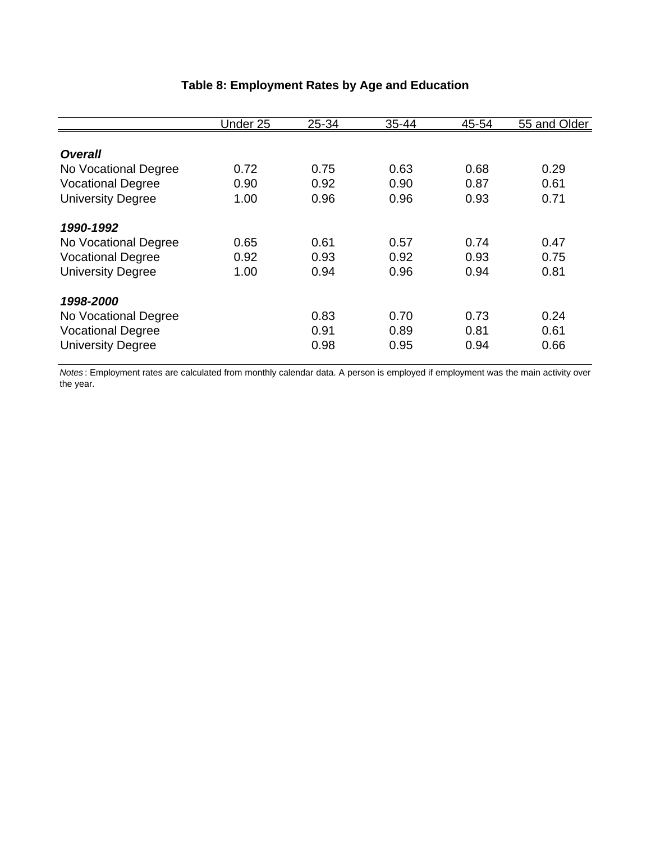|                          | Under 25 | 25-34 | 35-44 | 45-54 | 55 and Older |
|--------------------------|----------|-------|-------|-------|--------------|
|                          |          |       |       |       |              |
| <b>Overall</b>           |          |       |       |       |              |
| No Vocational Degree     | 0.72     | 0.75  | 0.63  | 0.68  | 0.29         |
| <b>Vocational Degree</b> | 0.90     | 0.92  | 0.90  | 0.87  | 0.61         |
| <b>University Degree</b> | 1.00     | 0.96  | 0.96  | 0.93  | 0.71         |
| 1990-1992                |          |       |       |       |              |
| No Vocational Degree     | 0.65     | 0.61  | 0.57  | 0.74  | 0.47         |
| <b>Vocational Degree</b> | 0.92     | 0.93  | 0.92  | 0.93  | 0.75         |
| <b>University Degree</b> | 1.00     | 0.94  | 0.96  | 0.94  | 0.81         |
| 1998-2000                |          |       |       |       |              |
| No Vocational Degree     |          | 0.83  | 0.70  | 0.73  | 0.24         |
| <b>Vocational Degree</b> |          | 0.91  | 0.89  | 0.81  | 0.61         |
| <b>University Degree</b> |          | 0.98  | 0.95  | 0.94  | 0.66         |

# **Table 8: Employment Rates by Age and Education**

*Notes* : Employment rates are calculated from monthly calendar data. A person is employed if employment was the main activity over the year.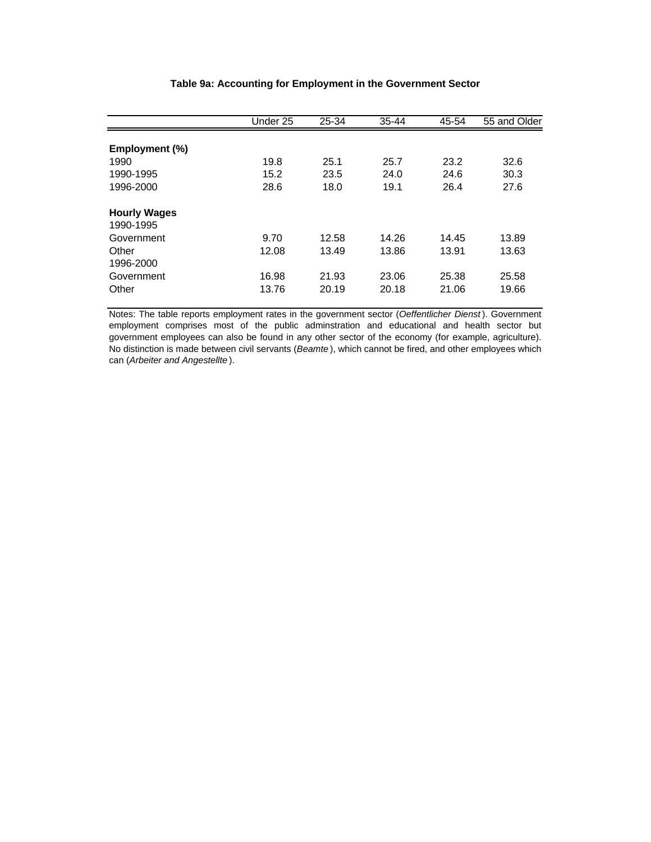|                                  | Under 25 | 25-34 | $35 - 44$ | 45-54 | 55 and Older |
|----------------------------------|----------|-------|-----------|-------|--------------|
|                                  |          |       |           |       |              |
| Employment (%)                   |          |       |           |       |              |
| 1990                             | 19.8     | 25.1  | 25.7      | 23.2  | 32.6         |
| 1990-1995                        | 15.2     | 23.5  | 24.0      | 24.6  | 30.3         |
| 1996-2000                        | 28.6     | 18.0  | 19.1      | 26.4  | 27.6         |
| <b>Hourly Wages</b><br>1990-1995 |          |       |           |       |              |
| Government                       | 9.70     | 12.58 | 14.26     | 14.45 | 13.89        |
| Other                            |          |       |           |       |              |
| 1996-2000                        | 12.08    | 13.49 | 13.86     | 13.91 | 13.63        |
| Government                       | 16.98    | 21.93 | 23.06     | 25.38 | 25.58        |
| Other                            | 13.76    | 20.19 | 20.18     | 21.06 | 19.66        |

#### **Table 9a: Accounting for Employment in the Government Sector**

Notes: The table reports employment rates in the government sector (*Oeffentlicher Dienst* ). Government employment comprises most of the public adminstration and educational and health sector but government employees can also be found in any other sector of the economy (for example, agriculture). No distinction is made between civil servants (*Beamte* ), which cannot be fired, and other employees which can (*Arbeiter and Angestellte* ).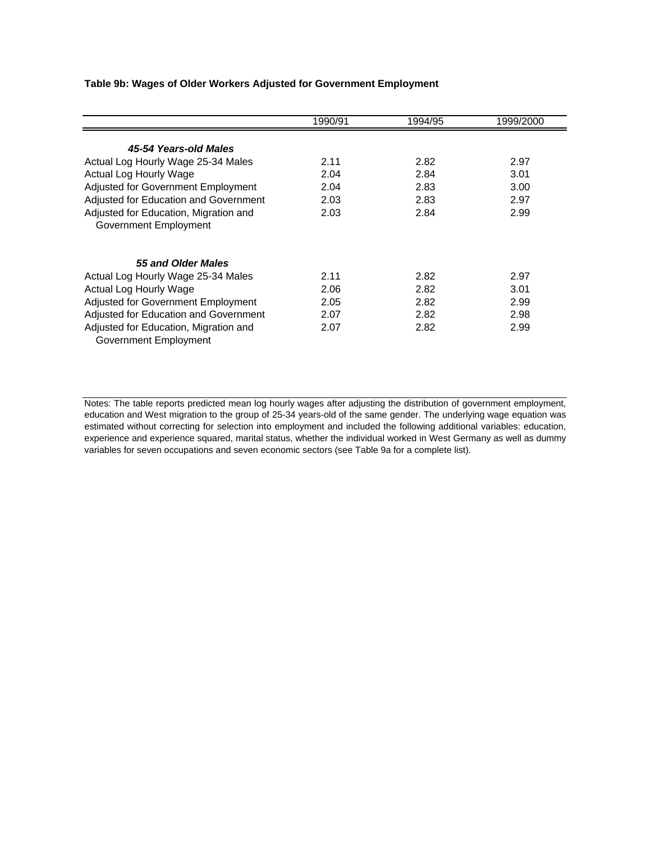#### **Table 9b: Wages of Older Workers Adjusted for Government Employment**

|                                       | 1990/91 | 1994/95 | 1999/2000 |
|---------------------------------------|---------|---------|-----------|
| 45-54 Years-old Males                 |         |         |           |
| Actual Log Hourly Wage 25-34 Males    | 2.11    | 2.82    | 2.97      |
| Actual Log Hourly Wage                | 2.04    | 2.84    | 3.01      |
| Adjusted for Government Employment    | 2.04    | 2.83    | 3.00      |
| Adjusted for Education and Government | 2.03    | 2.83    | 2.97      |
| Adjusted for Education, Migration and | 2.03    | 2.84    | 2.99      |
| Government Employment                 |         |         |           |
|                                       |         |         |           |
| 55 and Older Males                    |         |         |           |
| Actual Log Hourly Wage 25-34 Males    | 2.11    | 2.82    | 2.97      |
| Actual Log Hourly Wage                | 2.06    | 2.82    | 3.01      |
| Adjusted for Government Employment    | 2.05    | 2.82    | 2.99      |
| Adjusted for Education and Government | 2.07    | 2.82    | 2.98      |
| Adjusted for Education, Migration and | 2.07    | 2.82    | 2.99      |
| Government Employment                 |         |         |           |

Notes: The table reports predicted mean log hourly wages after adjusting the distribution of government employment, education and West migration to the group of 25-34 years-old of the same gender. The underlying wage equation was estimated without correcting for selection into employment and included the following additional variables: education, experience and experience squared, marital status, whether the individual worked in West Germany as well as dummy variables for seven occupations and seven economic sectors (see Table 9a for a complete list).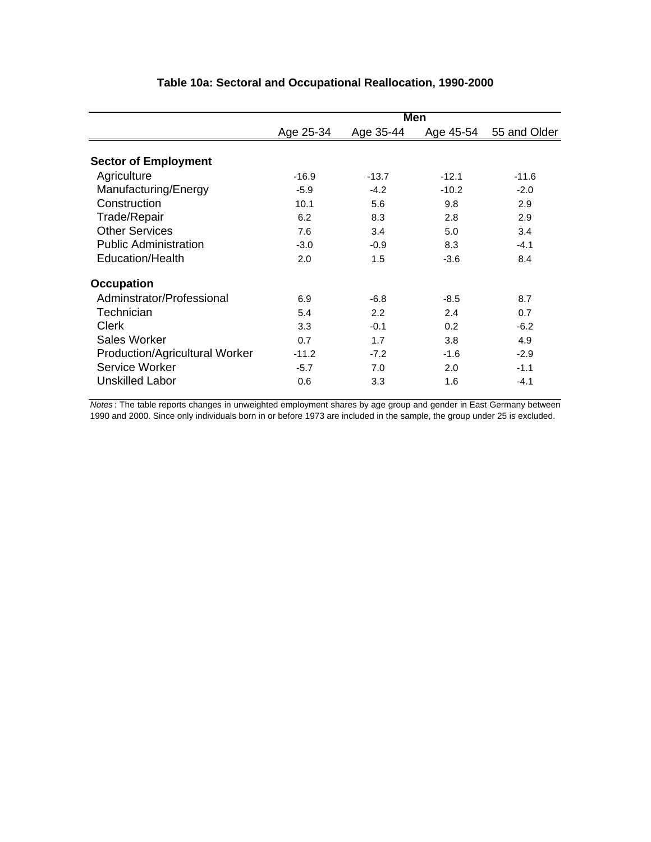|                                | Men       |           |         |                        |  |  |
|--------------------------------|-----------|-----------|---------|------------------------|--|--|
|                                | Age 25-34 | Age 35-44 |         | Age 45-54 55 and Older |  |  |
|                                |           |           |         |                        |  |  |
| <b>Sector of Employment</b>    |           |           |         |                        |  |  |
| Agriculture                    | $-16.9$   | $-13.7$   | $-12.1$ | $-11.6$                |  |  |
| Manufacturing/Energy           | $-5.9$    | $-4.2$    | $-10.2$ | $-2.0$                 |  |  |
| Construction                   | 10.1      | 5.6       | 9.8     | 2.9                    |  |  |
| Trade/Repair                   | 6.2       | 8.3       | 2.8     | 2.9                    |  |  |
| <b>Other Services</b>          | 7.6       | 3.4       | 5.0     | 3.4                    |  |  |
| <b>Public Administration</b>   | $-3.0$    | $-0.9$    | 8.3     | $-4.1$                 |  |  |
| Education/Health               | 2.0       | 1.5       | $-3.6$  | 8.4                    |  |  |
| <b>Occupation</b>              |           |           |         |                        |  |  |
| Adminstrator/Professional      | 6.9       | $-6.8$    | $-8.5$  | 8.7                    |  |  |
| Technician                     | 5.4       | 2.2       | 2.4     | 0.7                    |  |  |
| <b>Clerk</b>                   | 3.3       | $-0.1$    | 0.2     | $-6.2$                 |  |  |
| Sales Worker                   | 0.7       | 1.7       | 3.8     | 4.9                    |  |  |
| Production/Agricultural Worker | $-11.2$   | $-7.2$    | $-1.6$  | $-2.9$                 |  |  |
| Service Worker                 | $-5.7$    | 7.0       | 2.0     | $-1.1$                 |  |  |
| <b>Unskilled Labor</b>         | 0.6       | 3.3       | 1.6     | $-4.1$                 |  |  |

### **Table 10a: Sectoral and Occupational Reallocation, 1990-2000**

*Notes* : The table reports changes in unweighted employment shares by age group and gender in East Germany between 1990 and 2000. Since only individuals born in or before 1973 are included in the sample, the group under 25 is excluded.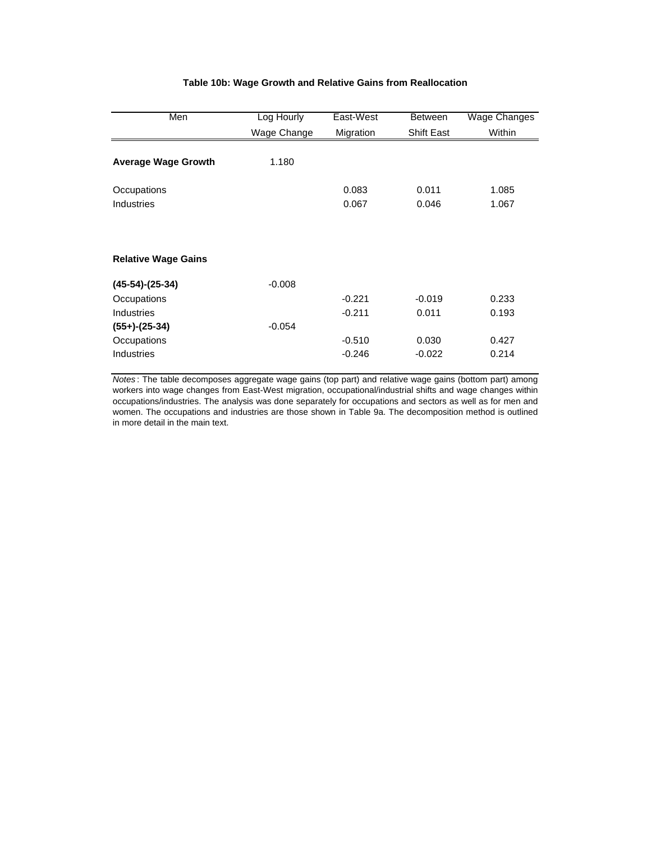### **Table 10b: Wage Growth and Relative Gains from Reallocation**

| Men                        | Log Hourly  | East-West | <b>Between</b>    | Wage Changes |  |
|----------------------------|-------------|-----------|-------------------|--------------|--|
|                            | Wage Change | Migration | <b>Shift East</b> | Within       |  |
| <b>Average Wage Growth</b> | 1.180       |           |                   |              |  |
| Occupations                |             | 0.083     | 0.011             | 1.085        |  |
| <b>Industries</b>          |             | 0.067     | 0.046             | 1.067        |  |
| <b>Relative Wage Gains</b> |             |           |                   |              |  |
| $(45-54)-(25-34)$          | $-0.008$    |           |                   |              |  |
| Occupations                |             | $-0.221$  | $-0.019$          | 0.233        |  |
| <b>Industries</b>          |             | $-0.211$  | 0.011             | 0.193        |  |
| $(55+)-(25-34)$            | $-0.054$    |           |                   |              |  |
| Occupations                |             | $-0.510$  | 0.030             | 0.427        |  |
| <b>Industries</b>          |             | $-0.246$  | $-0.022$          | 0.214        |  |

*Notes* : The table decomposes aggregate wage gains (top part) and relative wage gains (bottom part) among workers into wage changes from East-West migration, occupational/industrial shifts and wage changes within occupations/industries. The analysis was done separately for occupations and sectors as well as for men and women. The occupations and industries are those shown in Table 9a. The decomposition method is outlined in more detail in the main text.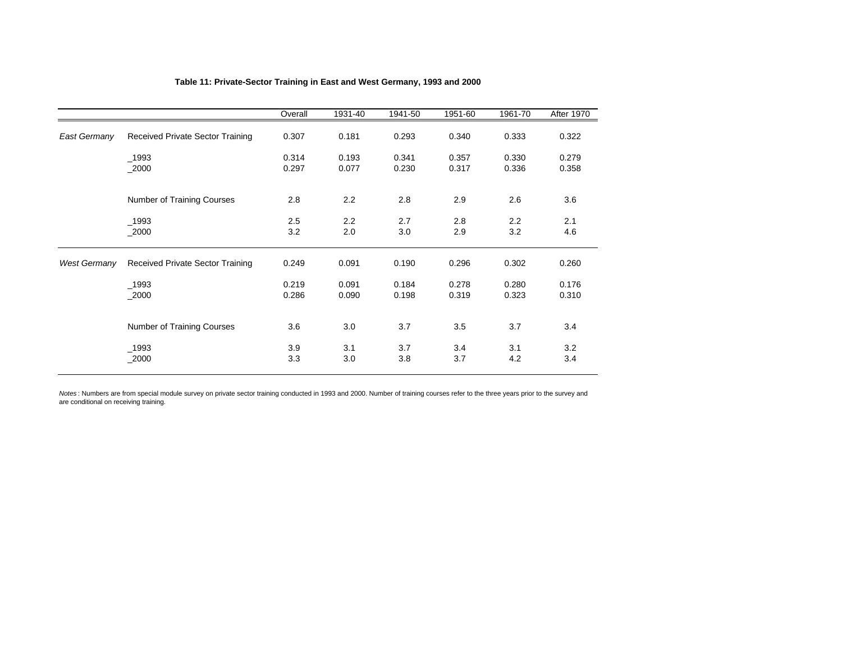|                     |                                         | Overall        | 1931-40        | 1941-50        | 1951-60        | 1961-70        | <b>After 1970</b> |
|---------------------|-----------------------------------------|----------------|----------------|----------------|----------------|----------------|-------------------|
| East Germany        | Received Private Sector Training        | 0.307          | 0.181          | 0.293          | 0.340          | 0.333          | 0.322             |
|                     | _1993<br>$-2000$                        | 0.314<br>0.297 | 0.193<br>0.077 | 0.341<br>0.230 | 0.357<br>0.317 | 0.330<br>0.336 | 0.279<br>0.358    |
|                     | <b>Number of Training Courses</b>       | 2.8            | 2.2            | 2.8            | 2.9            | 2.6            | 3.6               |
|                     | $-1993$<br>$-2000$                      | 2.5<br>3.2     | 2.2<br>2.0     | 2.7<br>3.0     | 2.8<br>2.9     | 2.2<br>3.2     | 2.1<br>4.6        |
| <b>West Germany</b> | <b>Received Private Sector Training</b> | 0.249          | 0.091          | 0.190          | 0.296          | 0.302          | 0.260             |
|                     | $-1993$<br>2000                         | 0.219<br>0.286 | 0.091<br>0.090 | 0.184<br>0.198 | 0.278<br>0.319 | 0.280<br>0.323 | 0.176<br>0.310    |
|                     | <b>Number of Training Courses</b>       | 3.6            | 3.0            | 3.7            | 3.5            | 3.7            | 3.4               |
|                     | $-1993$<br>$-2000$                      | 3.9<br>3.3     | 3.1<br>3.0     | 3.7<br>3.8     | 3.4<br>3.7     | 3.1<br>4.2     | 3.2<br>3.4        |

### **Table 11: Private-Sector Training in East and West Germany, 1993 and 2000**

*Notes* : Numbers are from special module survey on private sector training conducted in 1993 and 2000. Number of training courses refer to the three years prior to the survey and are conditional on receiving training.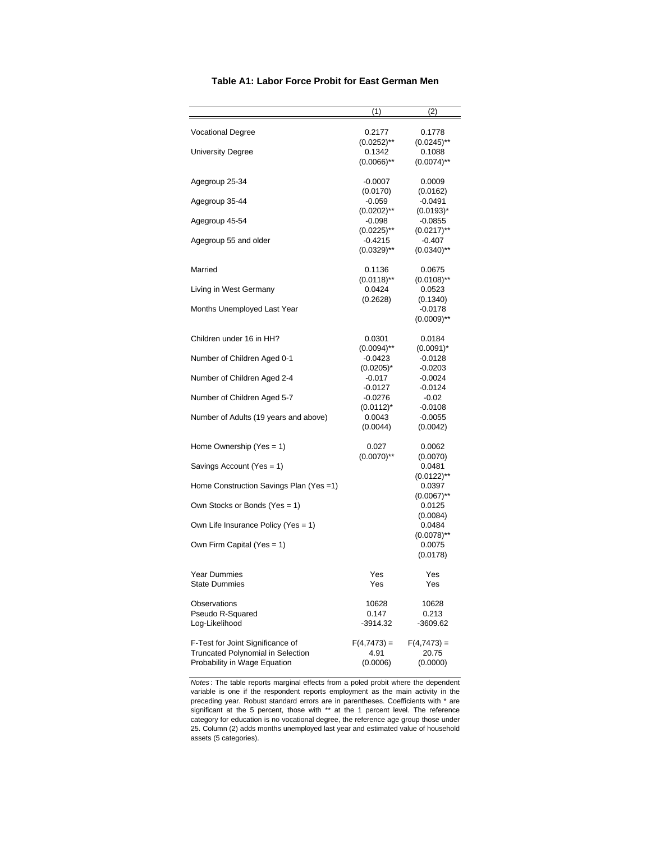|                                                                                                       | (1)                               | (2)                                |  |
|-------------------------------------------------------------------------------------------------------|-----------------------------------|------------------------------------|--|
| <b>Vocational Degree</b>                                                                              | 0.2177<br>$(0.0252)$ **           | 0.1778<br>$(0.0245)$ <sup>**</sup> |  |
| <b>University Degree</b>                                                                              | 0.1342<br>$(0.0066)$ **           | 0.1088<br>$(0.0074)$ <sup>**</sup> |  |
| Agegroup 25-34                                                                                        | $-0.0007$<br>(0.0170)             | 0.0009<br>(0.0162)                 |  |
| Agegroup 35-44                                                                                        | $-0.059$<br>$(0.0202)$ **         | $-0.0491$<br>$(0.0193)^*$          |  |
| Agegroup 45-54                                                                                        | $-0.098$<br>$(0.0225)$ **         | $-0.0855$<br>$(0.0217)$ **         |  |
| Agegroup 55 and older                                                                                 | -0.4215<br>$(0.0329)$ **          | $-0.407$<br>$(0.0340)$ **          |  |
| Married                                                                                               | 0.1136<br>$(0.0118)$ **           | 0.0675<br>$(0.0108)$ <sup>**</sup> |  |
| Living in West Germany                                                                                | 0.0424<br>(0.2628)                | 0.0523<br>(0.1340)                 |  |
| Months Unemployed Last Year                                                                           |                                   | $-0.0178$<br>$(0.0009)$ **         |  |
| Children under 16 in HH?                                                                              | 0.0301<br>$(0.0094)$ **           | 0.0184<br>$(0.0091)^*$             |  |
| Number of Children Aged 0-1                                                                           | -0.0423<br>$(0.0205)^{*}$         | -0.0128<br>-0.0203                 |  |
| Number of Children Aged 2-4                                                                           | $-0.017$<br>$-0.0127$             | -0.0024<br>-0.0124                 |  |
| Number of Children Aged 5-7                                                                           | -0.0276<br>$(0.0112)^*$           | $-0.02$<br>$-0.0108$               |  |
| Number of Adults (19 years and above)                                                                 | 0.0043<br>(0.0044)                | $-0.0055$<br>(0.0042)              |  |
| Home Ownership (Yes $= 1$ )                                                                           | 0.027<br>$(0.0070)$ **            | 0.0062<br>(0.0070)                 |  |
| Savings Account (Yes = 1)                                                                             |                                   | 0.0481<br>$(0.0122)$ **            |  |
| Home Construction Savings Plan (Yes =1)                                                               |                                   | 0.0397<br>$(0.0067)$ **            |  |
| Own Stocks or Bonds (Yes = 1)                                                                         |                                   | 0.0125<br>(0.0084)                 |  |
| Own Life Insurance Policy (Yes = 1)                                                                   |                                   | 0.0484<br>$(0.0078)$ **            |  |
| Own Firm Capital (Yes = 1)                                                                            |                                   | 0.0075<br>(0.0178)                 |  |
| <b>Year Dummies</b><br><b>State Dummies</b>                                                           | Yes<br>Yes                        | Yes<br>Yes                         |  |
| Observations<br>Pseudo R-Squared<br>Log-Likelihood                                                    | 10628<br>0.147<br>$-3914.32$      | 10628<br>0.213<br>-3609.62         |  |
| F-Test for Joint Significance of<br>Truncated Polynomial in Selection<br>Probability in Wage Equation | $F(4,7473) =$<br>4.91<br>(0.0006) | $F(4,7473) =$<br>20.75<br>(0.0000) |  |

#### **Table A1: Labor Force Probit for East German Men**

*Notes* : The table reports marginal effects from a poled probit where the dependent variable is one if the respondent reports employment as the main activity in the preceding year. Robust standard errors are in parentheses. Coefficients with \* are significant at the 5 percent, those with \*\* at the 1 percent level. The reference category for education is no vocational degree, the reference age group those under 25. Column (2) adds months unemployed last year and estimated value of household assets (5 categories).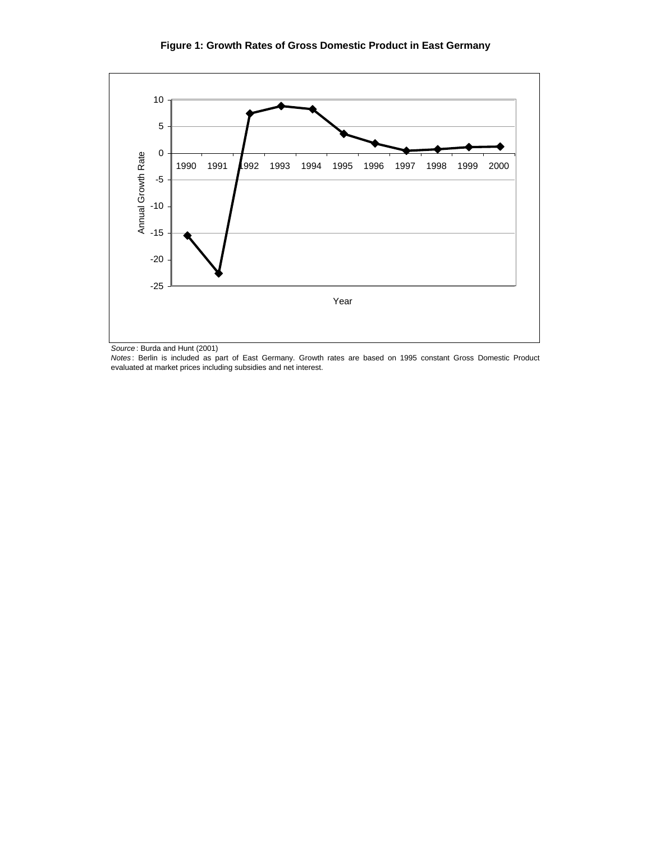### **Figure 1: Growth Rates of Gross Domestic Product in East Germany**



*Source* : Burda and Hunt (2001)

*Notes* : Berlin is included as part of East Germany. Growth rates are based on 1995 constant Gross Domestic Product evaluated at market prices including subsidies and net interest.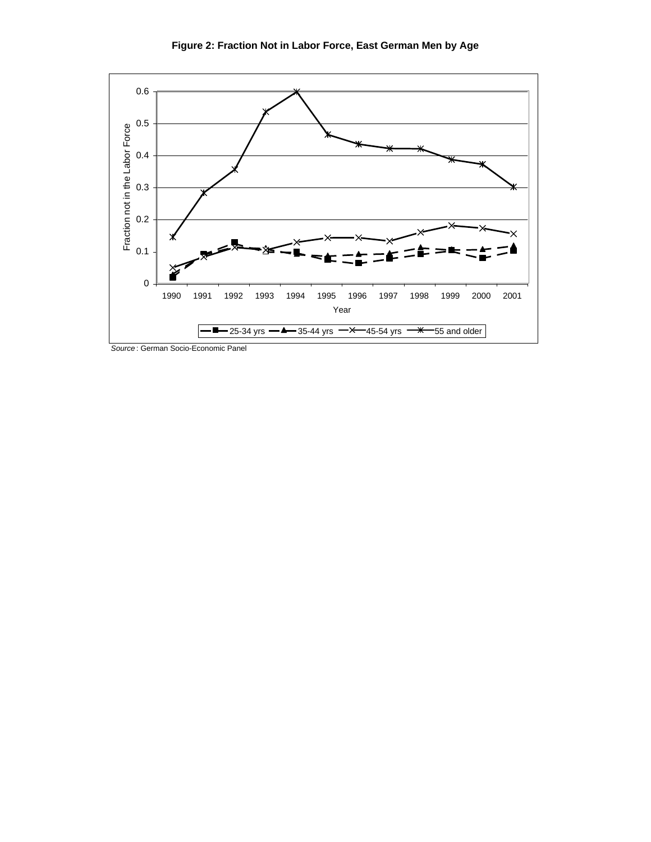

*Source* : German Socio-Economic Panel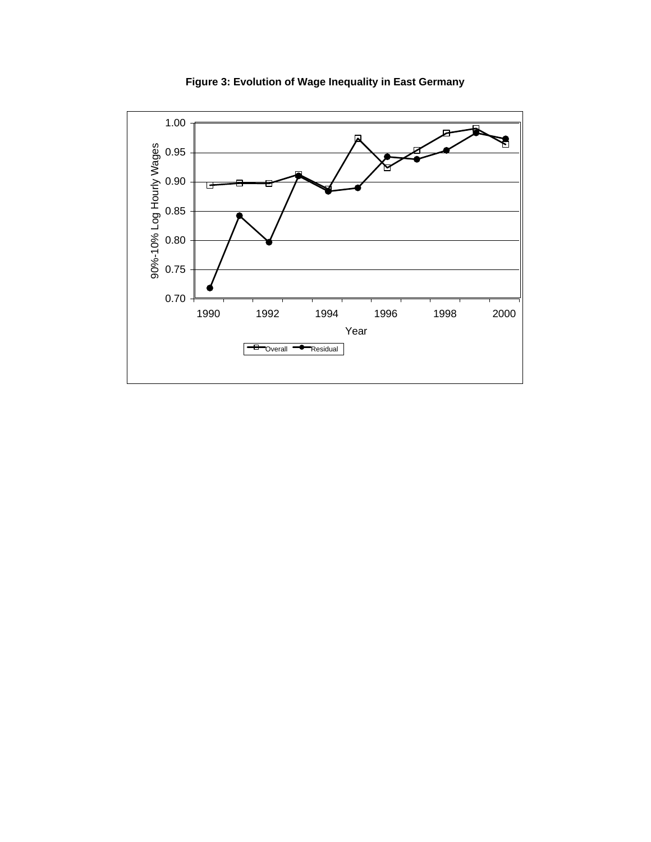

**Figure 3: Evolution of Wage Inequality in East Germany**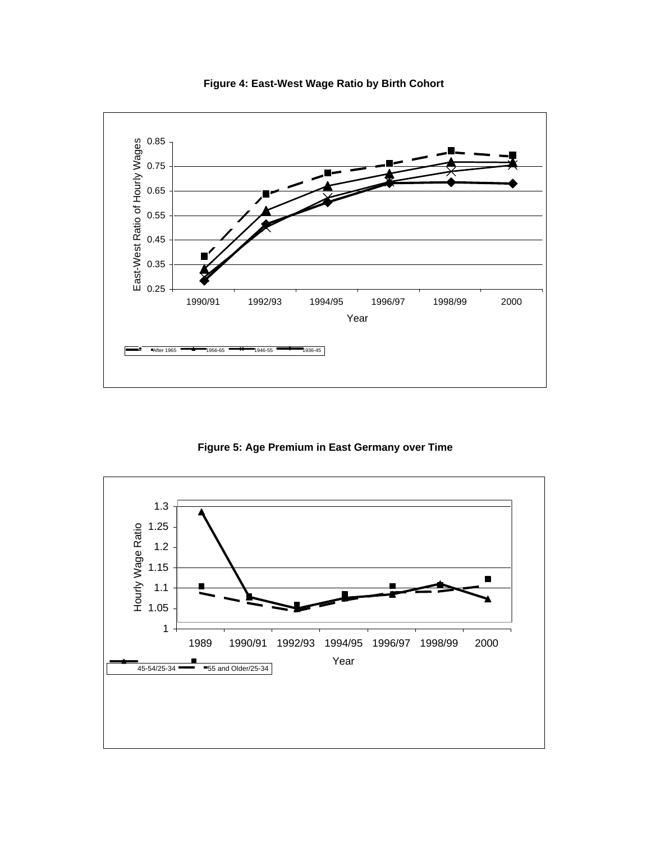

**Figure 4: East-West Wage Ratio by Birth Cohort** 

**Figure 5: Age Premium in East Germany over Time**

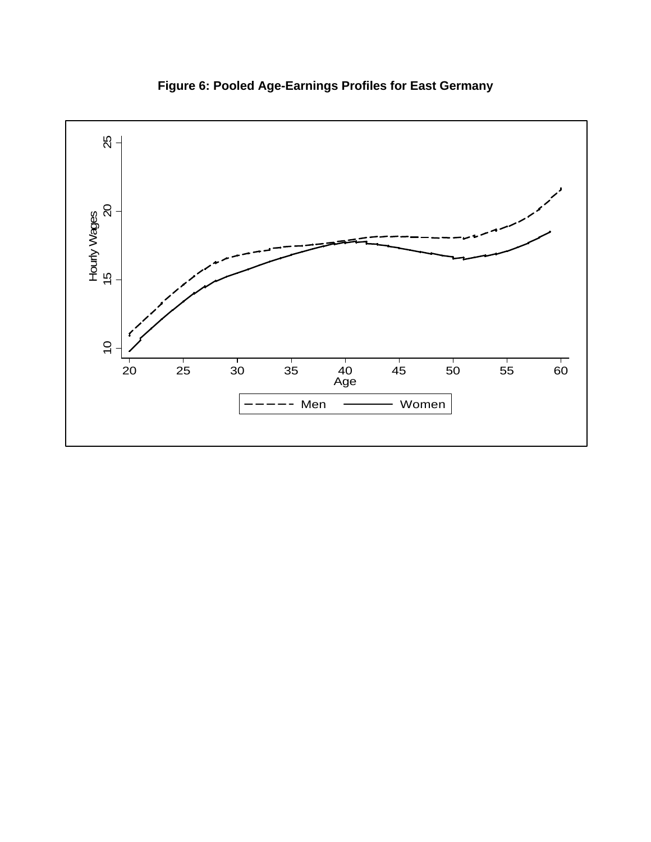

**Figure 6: Pooled Age-Earnings Profiles for East Germany**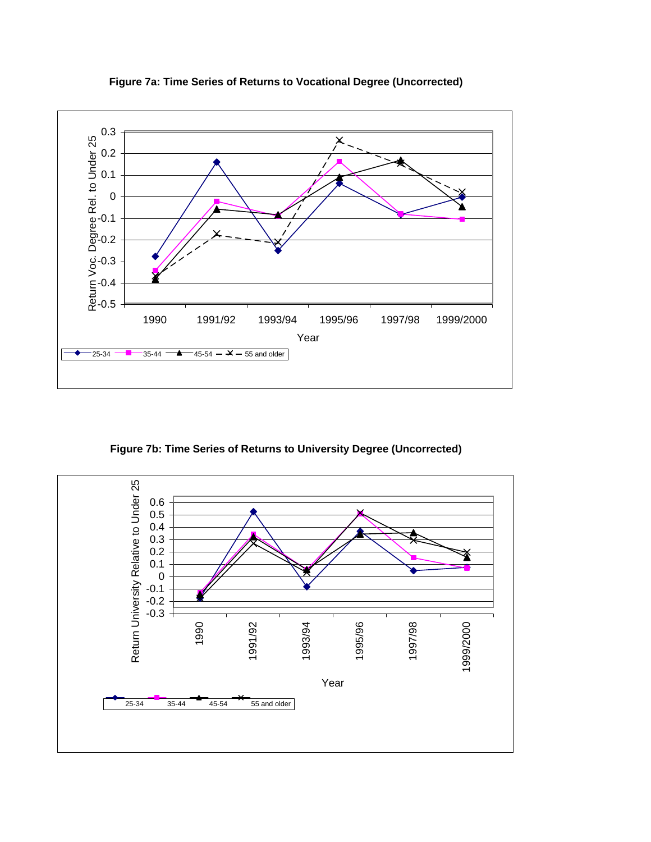

**Figure 7a: Time Series of Returns to Vocational Degree (Uncorrected)** 

**Figure 7b: Time Series of Returns to University Degree (Uncorrected)**

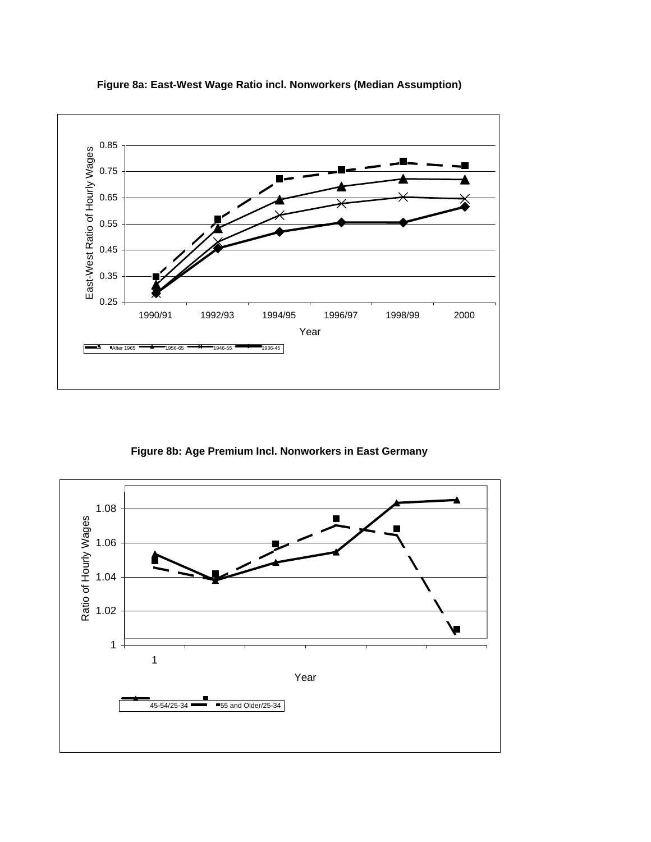

**Figure 8a: East-West Wage Ratio incl. Nonworkers (Median Assumption)**

**Figure 8b: Age Premium Incl. Nonworkers in East Germany** 

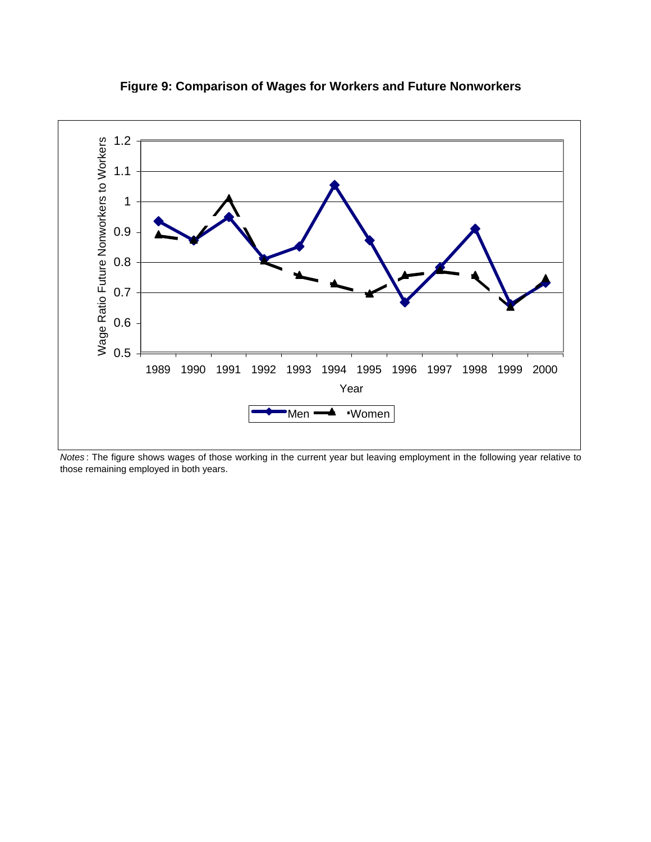

**Figure 9: Comparison of Wages for Workers and Future Nonworkers**

*Notes* : The figure shows wages of those working in the current year but leaving employment in the following year relative to those remaining employed in both years.